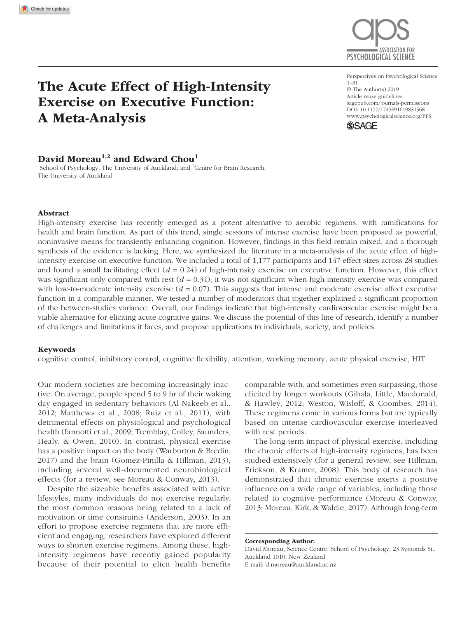# The Acute Effect of High-Intensity Exercise on Executive Function: A Meta-Analysis



DOI: 10.1177/1745691619850568 Perspectives on Psychological Science 1–31 © The Author(s) 2019 Article reuse guidelines: sagepub.com/journals-permissions [www.psychologicalscience.org/PPS](http://www.psychologicalscience.org/pps)



# David Moreau<sup>1,2</sup> and Edward Chou<sup>1</sup>

<sup>1</sup>School of Psychology, The University of Auckland; and <sup>2</sup>Centre for Brain Research, The University of Auckland

## Abstract

High-intensity exercise has recently emerged as a potent alternative to aerobic regimens, with ramifications for health and brain function. As part of this trend, single sessions of intense exercise have been proposed as powerful, noninvasive means for transiently enhancing cognition. However, findings in this field remain mixed, and a thorough synthesis of the evidence is lacking. Here, we synthesized the literature in a meta-analysis of the acute effect of highintensity exercise on executive function. We included a total of 1,177 participants and 147 effect sizes across 28 studies and found a small facilitating effect  $(d = 0.24)$  of high-intensity exercise on executive function. However, this effect was significant only compared with rest  $(d = 0.34)$ ; it was not significant when high-intensity exercise was compared with low-to-moderate intensity exercise  $(d = 0.07)$ . This suggests that intense and moderate exercise affect executive function in a comparable manner. We tested a number of moderators that together explained a significant proportion of the between-studies variance. Overall, our findings indicate that high-intensity cardiovascular exercise might be a viable alternative for eliciting acute cognitive gains. We discuss the potential of this line of research, identify a number of challenges and limitations it faces, and propose applications to individuals, society, and policies.

### Keywords

cognitive control, inhibitory control, cognitive flexibility, attention, working memory, acute physical exercise, HIT

Our modern societies are becoming increasingly inactive. On average, people spend 5 to 9 hr of their waking day engaged in sedentary behaviors (Al-Nakeeb et al., 2012; Matthews et al., 2008; Ruiz et al., 2011), with detrimental effects on physiological and psychological health (Iannotti et al., 2009; Tremblay, Colley, Saunders, Healy, & Owen, 2010). In contrast, physical exercise has a positive impact on the body (Warburton & Bredin, 2017) and the brain (Gomez-Pinilla & Hillman, 2013), including several well-documented neurobiological effects (for a review, see Moreau & Conway, 2013).

Despite the sizeable benefits associated with active lifestyles, many individuals do not exercise regularly, the most common reasons being related to a lack of motivation or time constraints (Anderson, 2003). In an effort to propose exercise regimens that are more efficient and engaging, researchers have explored different ways to shorten exercise regimens. Among these, highintensity regimens have recently gained popularity because of their potential to elicit health benefits

comparable with, and sometimes even surpassing, those elicited by longer workouts (Gibala, Little, Macdonald, & Hawley, 2012; Weston, Wisløff, & Coombes, 2014). These regimens come in various forms but are typically based on intense cardiovascular exercise interleaved with rest periods.

The long-term impact of physical exercise, including the chronic effects of high-intensity regimens, has been studied extensively (for a general review, see Hillman, Erickson, & Kramer, 2008). This body of research has demonstrated that chronic exercise exerts a positive influence on a wide range of variables, including those related to cognitive performance (Moreau & Conway, 2013; Moreau, Kirk, & Waldie, 2017). Although long-term

Corresponding Author: David Moreau, Science Centre, School of Psychology, 23 Symonds St., Auckland 1010, New Zealand E-mail: [d.moreau@auckland.ac.nz](mailto:d.moreau@auckland.ac.nz)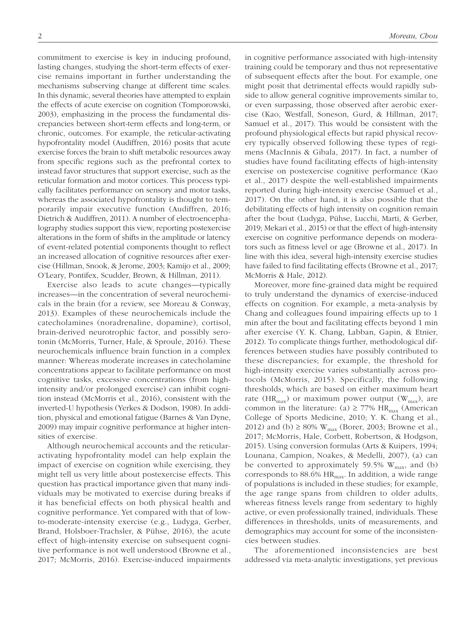commitment to exercise is key in inducing profound, lasting changes, studying the short-term effects of exercise remains important in further understanding the mechanisms subserving change at different time scales. In this dynamic, several theories have attempted to explain the effects of acute exercise on cognition (Tomporowski, 2003), emphasizing in the process the fundamental discrepancies between short-term effects and long-term, or chronic, outcomes. For example, the reticular-activating hypofrontality model (Audiffren, 2016) posits that acute exercise forces the brain to shift metabolic resources away from specific regions such as the prefrontal cortex to instead favor structures that support exercise, such as the reticular formation and motor cortices. This process typically facilitates performance on sensory and motor tasks, whereas the associated hypofrontality is thought to temporarily impair executive function (Audiffren, 2016; Dietrich & Audiffren, 2011). A number of electroencephalography studies support this view, reporting postexercise alterations in the form of shifts in the amplitude or latency of event-related potential components thought to reflect an increased allocation of cognitive resources after exercise (Hillman, Snook, & Jerome, 2003; Kamijo et al., 2009; O'Leary, Pontifex, Scudder, Brown, & Hillman, 2011).

Exercise also leads to acute changes*—*typically increases*—*in the concentration of several neurochemicals in the brain (for a review, see Moreau & Conway, 2013). Examples of these neurochemicals include the catecholamines (noradrenaline, dopamine), cortisol, brain-derived neurotrophic factor, and possibly serotonin (McMorris, Turner, Hale, & Sproule, 2016). These neurochemicals influence brain function in a complex manner: Whereas moderate increases in catecholamine concentrations appear to facilitate performance on most cognitive tasks, excessive concentrations (from highintensity and/or prolonged exercise) can inhibit cognition instead (McMorris et al., 2016), consistent with the inverted-U hypothesis (Yerkes & Dodson, 1908). In addition, physical and emotional fatigue (Barnes & Van Dyne, 2009) may impair cognitive performance at higher intensities of exercise.

Although neurochemical accounts and the reticularactivating hypofrontality model can help explain the impact of exercise on cognition while exercising, they might tell us very little about postexercise effects. This question has practical importance given that many individuals may be motivated to exercise during breaks if it has beneficial effects on both physical health and cognitive performance. Yet compared with that of lowto-moderate-intensity exercise (e.g., Ludyga, Gerber, Brand, Holsboer-Trachsler, & Pühse, 2016), the acute effect of high-intensity exercise on subsequent cognitive performance is not well understood (Browne et al., 2017; McMorris, 2016). Exercise-induced impairments in cognitive performance associated with high-intensity training could be temporary and thus not representative of subsequent effects after the bout. For example, one might posit that detrimental effects would rapidly subside to allow general cognitive improvements similar to, or even surpassing, those observed after aerobic exercise (Kao, Westfall, Soneson, Gurd, & Hillman, 2017; Samuel et al., 2017). This would be consistent with the profound physiological effects but rapid physical recovery typically observed following these types of regimens (MacInnis & Gibala, 2017). In fact, a number of studies have found facilitating effects of high-intensity exercise on postexercise cognitive performance (Kao et al., 2017) despite the well-established impairments reported during high-intensity exercise (Samuel et al., 2017). On the other hand, it is also possible that the debilitating effects of high intensity on cognition remain after the bout (Ludyga, Pühse, Lucchi, Marti, & Gerber, 2019; Mekari et al., 2015) or that the effect of high-intensity exercise on cognitive performance depends on moderators such as fitness level or age (Browne et al., 2017). In line with this idea, several high-intensity exercise studies have failed to find facilitating effects (Browne et al., 2017; McMorris & Hale, 2012).

Moreover, more fine-grained data might be required to truly understand the dynamics of exercise-induced effects on cognition. For example, a meta-analysis by Chang and colleagues found impairing effects up to 1 min after the bout and facilitating effects beyond 1 min after exercise (Y. K. Chang, Labban, Gapin, & Etnier, 2012). To complicate things further, methodological differences between studies have possibly contributed to these discrepancies; for example, the threshold for high-intensity exercise varies substantially across protocols (McMorris, 2015). Specifically, the following thresholds, which are based on either maximum heart rate ( $HR_{max}$ ) or maximum power output ( $W_{max}$ ), are common in the literature: (a)  $\geq$  77% HR<sub>max</sub> (American College of Sports Medicine, 2010; Y. K. Chang et al., 2012) and (b)  $\geq 80\%$  W<sub>max</sub> (Borer, 2003; Browne et al., 2017; McMorris, Hale, Corbett, Robertson, & Hodgson, 2015). Using conversion formulas (Arts & Kuipers, 1994; Lounana, Campion, Noakes, & Medelli, 2007), (a) can be converted to approximately 59.5%  $W_{max}$ , and (b) corresponds to  $88.6\%$  HR<sub>max</sub>. In addition, a wide range of populations is included in these studies; for example, the age range spans from children to older adults, whereas fitness levels range from sedentary to highly active, or even professionally trained, individuals. These differences in thresholds, units of measurements, and demographics may account for some of the inconsistencies between studies.

The aforementioned inconsistencies are best addressed via meta-analytic investigations, yet previous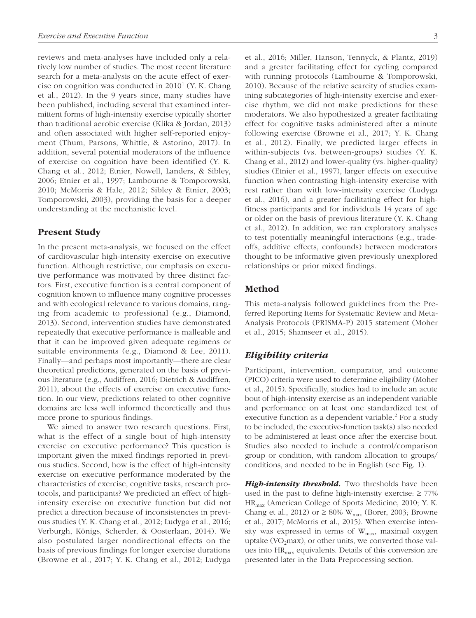reviews and meta-analyses have included only a relatively low number of studies. The most recent literature search for a meta-analysis on the acute effect of exercise on cognition was conducted in  $2010<sup>1</sup>$  (Y. K. Chang et al., 2012). In the 9 years since, many studies have been published, including several that examined intermittent forms of high-intensity exercise typically shorter than traditional aerobic exercise (Klika & Jordan, 2013) and often associated with higher self-reported enjoyment (Thum, Parsons, Whittle, & Astorino, 2017). In addition, several potential moderators of the influence of exercise on cognition have been identified (Y. K. Chang et al., 2012; Etnier, Nowell, Landers, & Sibley, 2006; Etnier et al., 1997; Lambourne & Tomporowski, 2010; McMorris & Hale, 2012; Sibley & Etnier, 2003; Tomporowski, 2003), providing the basis for a deeper understanding at the mechanistic level.

### Present Study

In the present meta-analysis, we focused on the effect of cardiovascular high-intensity exercise on executive function. Although restrictive, our emphasis on executive performance was motivated by three distinct factors. First, executive function is a central component of cognition known to influence many cognitive processes and with ecological relevance to various domains, ranging from academic to professional (e.g., Diamond, 2013). Second, intervention studies have demonstrated repeatedly that executive performance is malleable and that it can be improved given adequate regimens or suitable environments (e.g., Diamond & Lee, 2011). Finally—and perhaps most importantly—there are clear theoretical predictions, generated on the basis of previous literature (e.g., Audiffren, 2016; Dietrich & Audiffren, 2011), about the effects of exercise on executive function. In our view, predictions related to other cognitive domains are less well informed theoretically and thus more prone to spurious findings.

We aimed to answer two research questions. First, what is the effect of a single bout of high-intensity exercise on executive performance? This question is important given the mixed findings reported in previous studies. Second, how is the effect of high-intensity exercise on executive performance moderated by the characteristics of exercise, cognitive tasks, research protocols, and participants? We predicted an effect of highintensity exercise on executive function but did not predict a direction because of inconsistencies in previous studies (Y. K. Chang et al., 2012; Ludyga et al., 2016; Verburgh, Königs, Scherder, & Oosterlaan, 2014). We also postulated larger nondirectional effects on the basis of previous findings for longer exercise durations (Browne et al., 2017; Y. K. Chang et al., 2012; Ludyga

et al., 2016; Miller, Hanson, Tennyck, & Plantz, 2019) and a greater facilitating effect for cycling compared with running protocols (Lambourne & Tomporowski, 2010). Because of the relative scarcity of studies examining subcategories of high-intensity exercise and exercise rhythm, we did not make predictions for these moderators. We also hypothesized a greater facilitating effect for cognitive tasks administered after a minute following exercise (Browne et al., 2017; Y. K. Chang et al., 2012). Finally, we predicted larger effects in within-subjects (vs. between-groups) studies (Y. K. Chang et al., 2012) and lower-quality (vs. higher-quality) studies (Etnier et al., 1997), larger effects on executive function when contrasting high-intensity exercise with rest rather than with low-intensity exercise (Ludyga et al., 2016), and a greater facilitating effect for highfitness participants and for individuals 14 years of age or older on the basis of previous literature (Y. K. Chang et al., 2012). In addition, we ran exploratory analyses to test potentially meaningful interactions (e.g., tradeoffs, additive effects, confounds) between moderators thought to be informative given previously unexplored relationships or prior mixed findings.

# Method

This meta-analysis followed guidelines from the Preferred Reporting Items for Systematic Review and Meta-Analysis Protocols (PRISMA-P) 2015 statement (Moher et al., 2015; Shamseer et al., 2015).

# *Eligibility criteria*

Participant, intervention, comparator, and outcome (PICO) criteria were used to determine eligibility (Moher et al., 2015). Specifically, studies had to include an acute bout of high-intensity exercise as an independent variable and performance on at least one standardized test of executive function as a dependent variable. $<sup>2</sup>$  For a study</sup> to be included, the executive-function task(s) also needed to be administered at least once after the exercise bout. Studies also needed to include a control/comparison group or condition, with random allocation to groups/ conditions, and needed to be in English (see Fig. 1).

**High-intensity threshold.** Two thresholds have been used in the past to define high-intensity exercise:  $\geq$  77% HRmax (American College of Sports Medicine, 2010; Y. K. Chang et al., 2012) or  $\geq 80\%$  W<sub>max</sub> (Borer, 2003; Browne et al., 2017; McMorris et al., 2015). When exercise intensity was expressed in terms of  $W_{max}$ , maximal oxygen uptake ( $VO<sub>2</sub>max$ ), or other units, we converted those values into HR<sub>max</sub> equivalents. Details of this conversion are presented later in the Data Preprocessing section.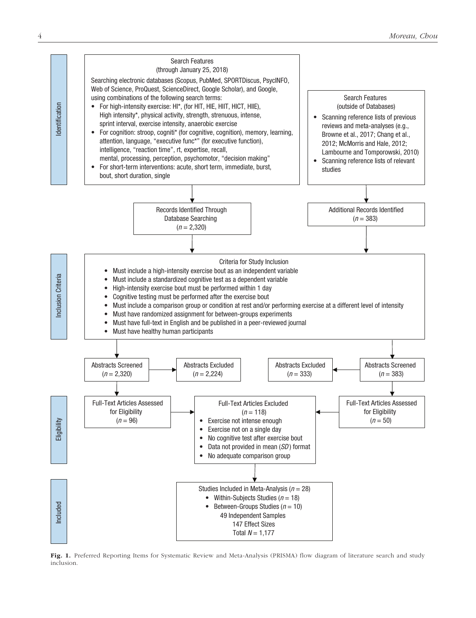

Fig. 1. Preferred Reporting Items for Systematic Review and Meta-Analysis (PRISMA) flow diagram of literature search and study inclusion.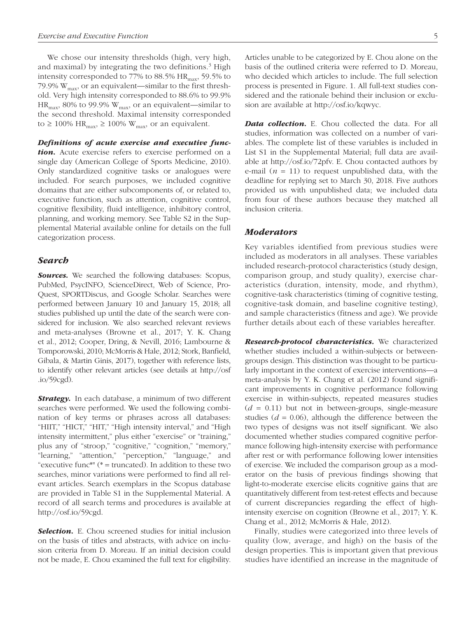We chose our intensity thresholds (high, very high, and maximal) by integrating the two definitions.<sup>3</sup> High intensity corresponded to 77% to  $88.5\%$  HR<sub>max</sub>, 59.5% to 79.9%  $W_{\text{max}}$ , or an equivalent—similar to the first threshold. Very high intensity corresponded to 88.6% to 99.9%  $HR_{max}$ , 80% to 99.9%  $W_{max}$ , or an equivalent—similar to the second threshold. Maximal intensity corresponded to  $\geq 100\%$  HR<sub>max</sub>,  $\geq 100\%$  W<sub>max</sub>, or an equivalent.

*Definitions of acute exercise and executive function.* Acute exercise refers to exercise performed on a single day (American College of Sports Medicine, 2010). Only standardized cognitive tasks or analogues were included. For search purposes, we included cognitive domains that are either subcomponents of, or related to, executive function, such as attention, cognitive control, cognitive flexibility, fluid intelligence, inhibitory control, planning, and working memory. See Table S2 in the Supplemental Material available online for details on the full categorization process.

### *Search*

**Sources.** We searched the following databases: Scopus, PubMed, PsycINFO, ScienceDirect, Web of Science, Pro-Quest, SPORTDiscus, and Google Scholar. Searches were performed between January 10 and January 15, 2018; all studies published up until the date of the search were considered for inclusion. We also searched relevant reviews and meta-analyses (Browne et al., 2017; Y. K. Chang et al., 2012; Cooper, Dring, & Nevill, 2016; Lambourne & Tomporowski, 2010; McMorris & Hale, 2012; Stork, Banfield, Gibala, & Martin Ginis, 2017), together with reference lists, to identify other relevant articles (see details at [http://osf](http://osf.io/59cgd) [.io/59cgd\)](http://osf.io/59cgd).

*Strategy.* In each database, a minimum of two different searches were performed. We used the following combination of key terms or phrases across all databases: "HIIT," "HICT," "HIT," "High intensity interval," and "High intensity intermittent," plus either "exercise" or "training," plus any of "stroop," "cognitive," "cognition," "memory," "learning," "attention," "perception," "language," and "executive func<sup>\*"</sup> ( $*$  = truncated). In addition to these two searches, minor variations were performed to find all relevant articles. Search exemplars in the Scopus database are provided in Table S1 in the Supplemental Material. A record of all search terms and procedures is available at <http://osf.io/59cgd>.

**Selection.** E. Chou screened studies for initial inclusion on the basis of titles and abstracts, with advice on inclusion criteria from D. Moreau. If an initial decision could not be made, E. Chou examined the full text for eligibility. Articles unable to be categorized by E. Chou alone on the basis of the outlined criteria were referred to D. Moreau, who decided which articles to include. The full selection process is presented in Figure. 1. All full-text studies considered and the rationale behind their inclusion or exclusion are available at<http://osf.io/kqwyc>.

*Data collection.* E. Chou collected the data. For all studies, information was collected on a number of variables. The complete list of these variables is included in List S1 in the Supplemental Material; full data are available at [http://osf.io/72pfv.](http://osf.io/72pfv) E. Chou contacted authors by e-mail  $(n = 11)$  to request unpublished data, with the deadline for replying set to March 30, 2018. Five authors provided us with unpublished data; we included data from four of these authors because they matched all inclusion criteria.

## *Moderators*

Key variables identified from previous studies were included as moderators in all analyses. These variables included research-protocol characteristics (study design, comparison group, and study quality), exercise characteristics (duration, intensity, mode, and rhythm), cognitive-task characteristics (timing of cognitive testing, cognitive-task domain, and baseline cognitive testing), and sample characteristics (fitness and age). We provide further details about each of these variables hereafter.

*Research-protocol characteristics.* We characterized whether studies included a within-subjects or betweengroups design. This distinction was thought to be particularly important in the context of exercise interventions—a meta-analysis by Y. K. Chang et al. (2012) found significant improvements in cognitive performance following exercise in within-subjects, repeated measures studies  $(d = 0.11)$  but not in between-groups, single-measure studies  $(d = 0.06)$ , although the difference between the two types of designs was not itself significant. We also documented whether studies compared cognitive performance following high-intensity exercise with performance after rest or with performance following lower intensities of exercise. We included the comparison group as a moderator on the basis of previous findings showing that light-to-moderate exercise elicits cognitive gains that are quantitatively different from test-retest effects and because of current discrepancies regarding the effect of highintensity exercise on cognition (Browne et al., 2017; Y. K. Chang et al., 2012; McMorris & Hale, 2012).

Finally, studies were categorized into three levels of quality (low, average, and high) on the basis of the design properties. This is important given that previous studies have identified an increase in the magnitude of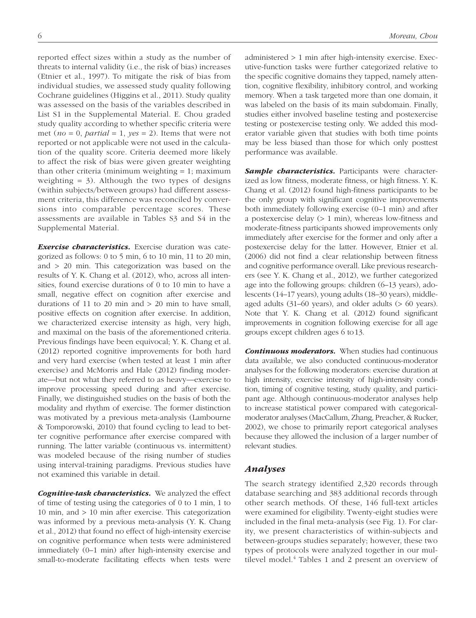reported effect sizes within a study as the number of threats to internal validity (i.e., the risk of bias) increases (Etnier et al., 1997). To mitigate the risk of bias from individual studies, we assessed study quality following Cochrane guidelines (Higgins et al., 2011). Study quality was assessed on the basis of the variables described in List S1 in the Supplemental Material. E. Chou graded study quality according to whether specific criteria were met ( $no = 0$ , *partial* = 1,  $yes = 2$ ). Items that were not reported or not applicable were not used in the calculation of the quality score. Criteria deemed more likely to affect the risk of bias were given greater weighting than other criteria (minimum weighting = 1; maximum weighting  $= 3$ ). Although the two types of designs (within subjects/between groups) had different assessment criteria, this difference was reconciled by conversions into comparable percentage scores. These assessments are available in Tables S3 and S4 in the Supplemental Material.

*Exercise characteristics.* Exercise duration was categorized as follows: 0 to 5 min, 6 to 10 min, 11 to 20 min, and > 20 min. This categorization was based on the results of Y. K. Chang et al. (2012), who, across all intensities, found exercise durations of 0 to 10 min to have a small, negative effect on cognition after exercise and durations of 11 to 20 min and  $> 20$  min to have small, positive effects on cognition after exercise. In addition, we characterized exercise intensity as high, very high, and maximal on the basis of the aforementioned criteria. Previous findings have been equivocal; Y. K. Chang et al. (2012) reported cognitive improvements for both hard and very hard exercise (when tested at least 1 min after exercise) and McMorris and Hale (2012) finding moderate—but not what they referred to as heavy—exercise to improve processing speed during and after exercise. Finally, we distinguished studies on the basis of both the modality and rhythm of exercise. The former distinction was motivated by a previous meta-analysis (Lambourne & Tomporowski, 2010) that found cycling to lead to better cognitive performance after exercise compared with running. The latter variable (continuous vs. intermittent) was modeled because of the rising number of studies using interval-training paradigms. Previous studies have not examined this variable in detail.

*Cognitive-task characteristics.* We analyzed the effect of time of testing using the categories of 0 to 1 min, 1 to 10 min, and > 10 min after exercise. This categorization was informed by a previous meta-analysis (Y. K. Chang et al., 2012) that found no effect of high-intensity exercise on cognitive performance when tests were administered immediately (0–1 min) after high-intensity exercise and small-to-moderate facilitating effects when tests were

administered > 1 min after high-intensity exercise. Executive-function tasks were further categorized relative to the specific cognitive domains they tapped, namely attention, cognitive flexibility, inhibitory control, and working memory. When a task targeted more than one domain, it was labeled on the basis of its main subdomain. Finally, studies either involved baseline testing and postexercise testing or postexercise testing only. We added this moderator variable given that studies with both time points

may be less biased than those for which only posttest

performance was available.

**Sample characteristics.** Participants were characterized as low fitness, moderate fitness, or high fitness. Y. K. Chang et al. (2012) found high-fitness participants to be the only group with significant cognitive improvements both immediately following exercise (0–1 min) and after a postexercise delay (> 1 min), whereas low-fitness and moderate-fitness participants showed improvements only immediately after exercise for the former and only after a postexercise delay for the latter. However, Etnier et al. (2006) did not find a clear relationship between fitness and cognitive performance overall. Like previous researchers (see Y. K. Chang et al., 2012), we further categorized age into the following groups: children (6–13 years), adolescents (14–17 years), young adults (18–30 years), middleaged adults (31–60 years), and older adults (> 60 years). Note that Y. K. Chang et al. (2012) found significant improvements in cognition following exercise for all age groups except children ages 6 to13.

*Continuous moderators.* When studies had continuous data available, we also conducted continuous-moderator analyses for the following moderators: exercise duration at high intensity, exercise intensity of high-intensity condition, timing of cognitive testing, study quality, and participant age. Although continuous-moderator analyses help to increase statistical power compared with categoricalmoderator analyses (MacCallum, Zhang, Preacher, & Rucker, 2002), we chose to primarily report categorical analyses because they allowed the inclusion of a larger number of relevant studies.

### *Analyses*

The search strategy identified 2,320 records through database searching and 383 additional records through other search methods. Of these, 146 full-text articles were examined for eligibility. Twenty-eight studies were included in the final meta-analysis (see Fig. 1). For clarity, we present characteristics of within-subjects and between-groups studies separately; however, these two types of protocols were analyzed together in our multilevel model.4 Tables 1 and 2 present an overview of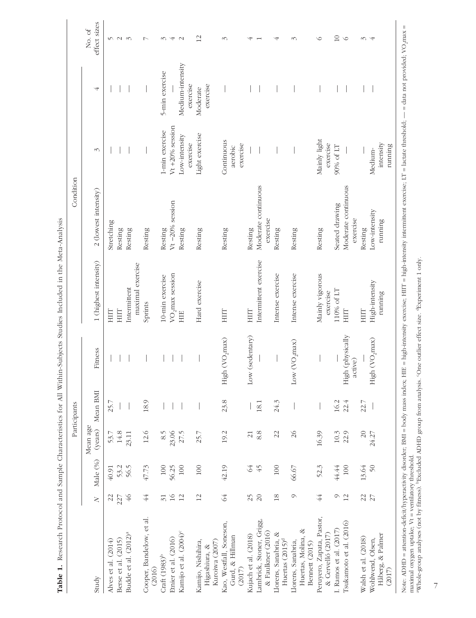| l<br>i<br>j<br>I                                                                                   |
|----------------------------------------------------------------------------------------------------|
| $\frac{1}{2}$                                                                                      |
| $\ddot{\ddot{\ }}$<br>l                                                                            |
| í<br>۱<br>ś                                                                                        |
| ֧֧֧֧֦֧ׅ֧֧֧֦֧ׅ֧֧֛֧֧֧֧֧֦֧֧֧֧֦֧֚֚֚֚֚֚֚֚֚֚֚֚֚֚֚֚֚֚֚֚֚֚֚֚֚֚֚֡֝֝֓֝֝֓֜֝֓֝֓֜֝֓֝֜֝֬֝֓֝֝֬֜֝<br>I<br>ţ        |
| $\frac{4}{3}$<br>ĭ<br>j                                                                            |
| ֡֡֡                                                                                                |
| ļ<br>:<br>I<br>vvrv.<br>į                                                                          |
| i                                                                                                  |
| Ì<br>ľ                                                                                             |
| I<br>֖֖֖֖֖֖ׅׅ֖ׅ֪֪֪ׅ֖֚֚֚֚֚֚֚֚֚֚֚֚֚֚֚֚֚֚֚֚֬֝֝֝֬֝֝֬֝֓֞֝<br>i<br>ì<br>Ì<br>$\frac{4}{\zeta}$<br>í<br>í |
| Ř<br>ļ<br>į<br>I<br>S                                                                              |
| ļ<br>ł                                                                                             |
| $\overline{a}$<br>Ì<br>Ì<br>Ì<br>l<br>$\overline{\phantom{a}}$                                     |
| ¢<br>j<br>1<br>Ì<br>֦֢֖֚֚֚֬֝֝֬<br>ï<br>Í                                                           |
| 1                                                                                                  |
| able                                                                                               |

|                                                            |                 |            |                     | Participants |                                |                                  | Condition                       |                                   |                              |                          |
|------------------------------------------------------------|-----------------|------------|---------------------|--------------|--------------------------------|----------------------------------|---------------------------------|-----------------------------------|------------------------------|--------------------------|
| Study                                                      | $\geq$          | Male (%)   | Mean age<br>(years) | Mean BMI     | Fitness                        | 1 (highest intensity)            | 2 (lowest intensity)            | $\mathcal{S}$                     | 4                            | effect sizes<br>No. of   |
| Alves et al. $(2014)$                                      | 22              | 40.91      | 53.7                | 25.7         |                                | HIIT                             | Stretching                      |                                   |                              | $\sim$                   |
| Berse et al. (2015)                                        | 227             | 53.2       | $14.8\,$            |              |                                | HIIT                             | Resting                         |                                   |                              | $\sim$                   |
| Budde et al. (2012) <sup>a</sup>                           | $\frac{1}{2}$   | 56.5       | 23.11               |              |                                | maximal exercise<br>Intermittent | Resting                         |                                   |                              | $\sim$                   |
| Cooper, Bandelow, et al.<br>(2016)                         | 44              | 47.73      | 12.6                | 18.9         |                                | Sprints                          | Resting                         |                                   |                              | $\overline{\phantom{0}}$ |
| Craft (1983) <sup>b</sup>                                  |                 | <b>100</b> | 8.5                 |              |                                | 10-min exercise                  | Resting                         | 1-min exercise                    | 5-min exercise               | S                        |
| Etnier et al. (2016)                                       | 31 <sub>6</sub> | 56.25      | 23.06               |              |                                | VO <sub>2</sub> max session      | $Vt - 20%$ session              | $Vt + 20%$ session                |                              | $\overline{4}$           |
| Kamijo et al. (2004) <sup>c</sup>                          | 12              | $100\,$    | 27.5                |              |                                | HIE                              | Resting                         | Low-intensity<br>exercise         | Medium-intensity<br>exercise | $\mathbf{\sim}$          |
| Kamijo, Nishihira,<br>Kuroiwa (2007)<br>Higashiura, &      | 12              | 100        | 25.7                |              |                                | Hard exercise                    | Resting                         | Light exercise                    | exercise<br>Moderate         | 12                       |
| Kao, Westfall, Soneson,<br>Gurd, & Hillman<br>(2017)       | $\Im$           | 42.19      | 19.2                | 23.8         | (VO <sub>2</sub> max)<br>High  | HIIT                             | Resting                         | Continuous<br>exercise<br>aerobic |                              | S                        |
| Kujach et al. (2018)                                       | 25              | 64         | 21                  |              | (sedentary)<br>$_{\text{Low}}$ | HIIT                             | Resting                         |                                   |                              | 4                        |
| Lambrick, Stoner, Grigg,<br>& Faulkner (2016)              | $20\,$          | 45         | 8.8                 | 18.1         |                                | Intermittent exercise            | Moderate continuous<br>exercise |                                   |                              |                          |
| Llorens, Sanabria, &<br>Huertas (2015) <sup>d</sup>        | $\overline{18}$ | 100        | 22                  | 24.3         |                                | Intense exercise                 | Resting                         |                                   |                              | 4                        |
| Huertas, Molina, &<br>Llorens, Sanabria,<br>Bennett (2015) | $\circ$         | 66.67      | $\delta$            |              | (VO <sub>2</sub> max)<br>Low   | Intense exercise                 | Resting                         |                                   |                              | S                        |
| Peruyero, Zapata, Pastor,<br>& Cervelló (2017)             | 44              | 52.3       | 16.39               |              |                                | Mainly vigorous<br>exercise      | Resting                         | Mainly light<br>exercise          |                              | $\circ$                  |
| I. Ramos et al. (2017)                                     |                 | 44.44      | $10.3\,$            | 16.2         |                                | 110% of LT                       | Seated drawing                  | 90% of LT                         |                              | 10                       |
| Tsukamoto et al. (2016)                                    | $\frac{9}{12}$  | 100        | 22.9                | 22.4         | (physically<br>active)<br>High | HIIT                             | Moderate continuous<br>exercise |                                   |                              | $\circ$                  |
| Walsh et al. (2018)                                        | $\frac{22}{27}$ | 13.64      | $\gtrsim$           | 22.7         |                                | HIIT                             | Resting                         |                                   |                              | S                        |
| Håberg, & Palmer<br>Wohlwend, Olsen,<br>(2017)             |                 | $\sqrt{2}$ | 24.27               |              | (VO <sub>2</sub> max)<br>High  | High-intensity<br>running        | Low-intensity<br>running        | intensity<br>running<br>Medium-   |                              | $\overline{4}$           |
|                                                            |                 |            |                     |              |                                |                                  |                                 |                                   |                              |                          |

Note: ADHD = attention-defict/hyperactivity disorder; BMI = body mass index; HIE = high-intensity exercise; HIT = high-intensity intermittent exercise; LT = lactate threshold; — = data not provided; VO<sub>2</sub>max =<br>maximal oxyg Note: ADHD = attention-deficit/hyperactivity disorder; BMI = body mass index; HIE = high-intensity exercise; HIIT = high-intensity intermittent exercise; LT = lactate threshold;  $-$  = data not provided; VO max = maximal oxygen uptake; Vt = ventilatory threshold.

aWhole-group analyses (not by fitness). bExcluded ADHD group from analysis. cOne outlier effect size. dExperiment 1 only.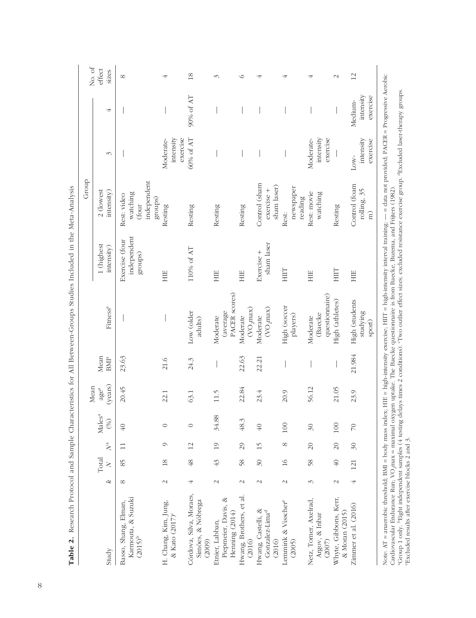|                                                                |               |                 |             |                    | Mean             |                  |                                       |                                          | Group                                           |                                    |                                  | No. of        |
|----------------------------------------------------------------|---------------|-----------------|-------------|--------------------|------------------|------------------|---------------------------------------|------------------------------------------|-------------------------------------------------|------------------------------------|----------------------------------|---------------|
|                                                                |               | Total           |             | Males <sup>a</sup> | age <sup>a</sup> | Mean             |                                       | 1 (highest                               | 2 (lowest                                       |                                    |                                  | effect        |
| Study                                                          | k             | $\geq$          | $N^{\rm a}$ | (%)                | (years)          | BMI <sup>a</sup> | Fitness <sup>a</sup>                  | intensity)                               | intensity)                                      | 3                                  | 4                                | sizes         |
| Karmouta, & Suzuki<br>Basso, Shang, Elman,<br>$(2015)^{\rm b}$ | $^{\circ}$    | 85              | $\Box$      | 40                 | 20.45            | 23.63            |                                       | independent<br>Exercise (four<br>groups) | independent<br>watching<br>Rest: video<br>(four |                                    |                                  | $\infty$      |
| H. Chang, Kim, Jung,<br>& Kato (2017) <sup>c</sup>             | $\mathcal{L}$ | $\overline{18}$ | $\circ$     | $\circ$            | 22.1             | 21.6             |                                       | HIE                                      | groups)<br>Resting                              | intensity<br>exercise<br>Moderate- |                                  | 4             |
| Córdova, Silva, Moraes,<br>Simões, & Nóbrega<br>(2009)         | 4             | 48              | 12          | $\circ$            | 63.1             | 24.3             | Low (older<br>adults)                 | 110% of AT                               | Resting                                         | 60% of AT                          | 90% of AT                        | 18            |
| Piepmeier, Davis, &<br>Henning (2014)<br>Etnier, Labban,       | $\mathcal{L}$ | 43              | 19          | 34.88              | 11.5             |                  | PACER scores)<br>(average<br>Moderate | HIE                                      | Resting                                         |                                    |                                  | 3             |
| Hwang, Brothers, et al.<br>(2016)                              | $\mathcal{L}$ | 58              | 29          | 48.3               | 22.84            | 22.63            | (VO, max)<br>Moderate                 | HIE                                      | Resting                                         |                                    |                                  | $\circ$       |
| Hwang, Castelli, &<br>Gonzalez-Lima <sup>d</sup><br>(2016)     | $\mathcal{L}$ | $\delta$ 0      | 15          | 40                 | 23.4             | 22.21            | (VO <sub>2</sub> max)<br>Moderate     | sham laser<br>Exercise +                 | Control (sham<br>sham laser)<br>$exercise +$    |                                    |                                  | 4             |
| Lemmink & Visscher <sup>e</sup><br>(2005)                      | $\mathcal{L}$ | 16              | $^{\circ}$  | 100                | 20.9             |                  | High (soccer<br>players)              | HIT                                      | newspaper<br>reading<br>Rest:                   |                                    |                                  |               |
| Netz, Tomer, Axelrad,<br>Argov, & Inbar<br>(2007)              | 3             | 58              | $\Omega$    | $\delta$ 0         | 56.12            |                  | questionnaire)<br>(Baecke<br>Moderate | HIE                                      | Rest: movie<br>watching                         | intensity<br>Moderate-<br>exercise |                                  |               |
| Whyte, Gibbons, Kerr,<br>& Moran (2015)                        | $\mathcal{L}$ | $40$            | $\Omega$    | 100                | 21.05            |                  | High (athletes)                       | HILL                                     | Resting                                         |                                    |                                  | $\mathcal{L}$ |
| Zimmer et al. (2016)                                           | 4             | 121             | 30          | $\geq$             | 23.9             | 21.984           | High (students<br>studying<br>sport)  | HIE                                      | Control (foam<br>rolling, 35<br>$\widehat{E}$   | intensity<br>exercise<br>Low-      | intensity<br>exercise<br>Medium- | 12            |
|                                                                |               |                 |             |                    |                  |                  |                                       |                                          |                                                 |                                    |                                  |               |

Table 2. Research Protocol and Sample Characteristics for All Between-Groups Studies Included in the Meta-Analysis Table 2. Research Protocol and Sample Characteristics for All Between-Groups Studies Included in the Meta-Analysis Note: AT = anaerobic threshold; BMI = body mass index; HIE = high-intensity exercise; HIIT = high-intensity interval training; — = data not provided; PACER = Progressive Aerobic<br>Cardiovascular Endurance Run; VO<sub>2</sub>max = max Note: AT = anaerobic threshold; BMI = body mass index; HIE = high-intensity exercise; HIIT = high-intensity interval training; — = data not provided; PACER = Progressive Aerobic aGroup 1 only. bEight independent samples (4 testing delays times 2 conditions). cTwo outlier effect sizes; excluded resistance exercise group. dExcluded laser-therapy groups. Cardiovascular Endurance Run; VO<sub>2</sub>max = maximal oxygen uptake. The Baecke questionnaire is from Baecke, Burema, and Frijters (1982). eExcluded results after exercise blocks 2 and 3.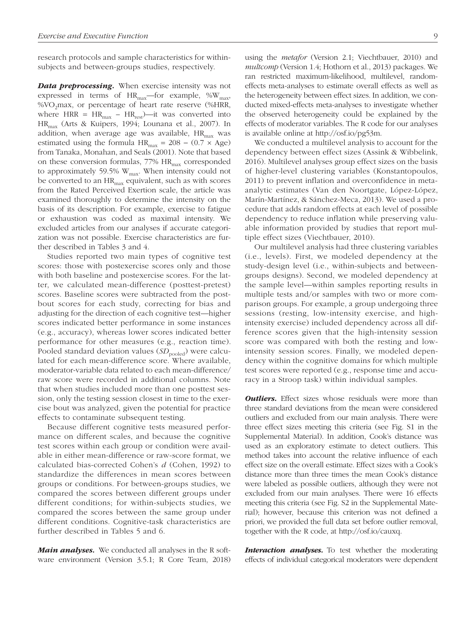research protocols and sample characteristics for withinsubjects and between-groups studies, respectively.

*Data preprocessing.* When exercise intensity was not expressed in terms of  $HR_{max}$ —for example, % $W_{max}$ , %VO2max, or percentage of heart rate reserve (%HRR, where  $HRR = HR_{max} - HR_{rest}$ )—it was converted into HRmax (Arts & Kuipers, 1994; Lounana et al., 2007). In addition, when average age was available,  $HR_{max}$  was estimated using the formula  $HR_{max} = 208 - (0.7 \times Age)$ from Tanaka, Monahan, and Seals (2001). Note that based on these conversion formulas, 77% HR<sub>max</sub> corresponded to approximately 59.5%  $W_{\text{max}}$ . When intensity could not be converted to an  $\rm HR_{max}$  equivalent, such as with scores from the Rated Perceived Exertion scale, the article was examined thoroughly to determine the intensity on the basis of its description. For example, exercise to fatigue or exhaustion was coded as maximal intensity. We excluded articles from our analyses if accurate categorization was not possible. Exercise characteristics are further described in Tables 3 and 4.

Studies reported two main types of cognitive test scores: those with postexercise scores only and those with both baseline and postexercise scores. For the latter, we calculated mean-difference (posttest-pretest) scores. Baseline scores were subtracted from the postbout scores for each study, correcting for bias and adjusting for the direction of each cognitive test*—*higher scores indicated better performance in some instances (e.g., accuracy), whereas lower scores indicated better performance for other measures (e.g., reaction time). Pooled standard deviation values (*SD*<sub>pooled</sub>) were calculated for each mean-difference score. Where available, moderator-variable data related to each mean-difference/ raw score were recorded in additional columns. Note that when studies included more than one posttest session, only the testing session closest in time to the exercise bout was analyzed, given the potential for practice effects to contaminate subsequent testing.

Because different cognitive tests measured performance on different scales, and because the cognitive test scores within each group or condition were available in either mean-difference or raw-score format, we calculated bias-corrected Cohen's *d* (Cohen, 1992) to standardize the differences in mean scores between groups or conditions. For between-groups studies, we compared the scores between different groups under different conditions; for within-subjects studies, we compared the scores between the same group under different conditions. Cognitive-task characteristics are further described in Tables 5 and 6.

*Main analyses.* We conducted all analyses in the R software environment (Version 3.5.1; R Core Team, 2018) using the *metafor* (Version 2.1; Viechtbauer, 2010) and *multcomp* (Version 1.4; Hothorn et al., 2013) packages. We ran restricted maximum-likelihood, multilevel, randomeffects meta-analyses to estimate overall effects as well as the heterogeneity between effect sizes. In addition, we conducted mixed-effects meta-analyses to investigate whether the observed heterogeneity could be explained by the effects of moderator variables. The R code for our analyses is available online at [http://osf.io/](http://osf.io/pg53m)pg53m.

We conducted a multilevel analysis to account for the dependency between effect sizes (Assink & Wibbelink, 2016). Multilevel analyses group effect sizes on the basis of higher-level clustering variables (Konstantopoulos, 2011) to prevent inflation and overconfidence in metaanalytic estimates (Van den Noortgate, López-López, Marín-Martínez, & Sánchez-Meca, 2013). We used a procedure that adds random effects at each level of possible dependency to reduce inflation while preserving valuable information provided by studies that report multiple effect sizes (Viechtbauer, 2010).

Our multilevel analysis had three clustering variables (i.e., levels). First, we modeled dependency at the study-design level (i.e., within-subjects and betweengroups designs). Second, we modeled dependency at the sample level*—*within samples reporting results in multiple tests and/or samples with two or more comparison groups. For example, a group undergoing three sessions (resting, low-intensity exercise, and highintensity exercise) included dependency across all difference scores given that the high-intensity session score was compared with both the resting and lowintensity session scores. Finally, we modeled dependency within the cognitive domains for which multiple test scores were reported (e.g., response time and accuracy in a Stroop task) within individual samples.

**Outliers.** Effect sizes whose residuals were more than three standard deviations from the mean were considered outliers and excluded from our main analysis. There were three effect sizes meeting this criteria (see Fig. S1 in the Supplemental Material). In addition, Cook's distance was used as an exploratory estimate to detect outliers. This method takes into account the relative influence of each effect size on the overall estimate. Effect sizes with a Cook's distance more than three times the mean Cook's distance were labeled as possible outliers, although they were not excluded from our main analyses. There were 16 effects meeting this criteria (see Fig. S2 in the Supplemental Material); however, because this criterion was not defined a priori, we provided the full data set before outlier removal, together with the R code, at <http://osf.io/cauxq>.

**Interaction analyses.** To test whether the moderating effects of individual categorical moderators were dependent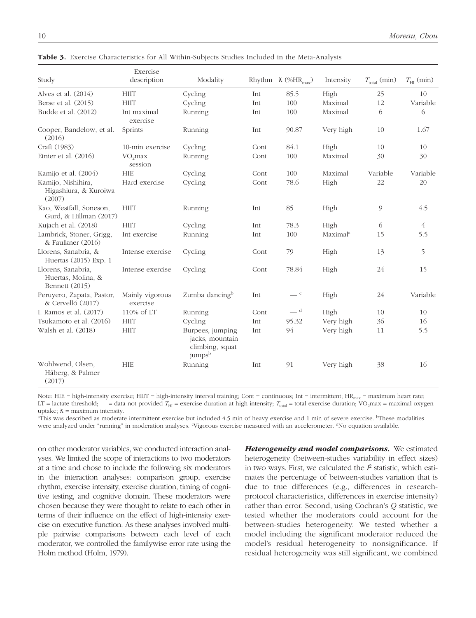|                                                            | Exercise                       |                                                                              |      |                                                    |                      |                          |                    |
|------------------------------------------------------------|--------------------------------|------------------------------------------------------------------------------|------|----------------------------------------------------|----------------------|--------------------------|--------------------|
| Study                                                      | description                    | Modality                                                                     |      | Rhythm $\Lambda$ (%HR <sub>max</sub> )             | Intensity            | $T_{\text{total}}$ (min) | $T_{\rm HI}$ (min) |
| Alves et al. $(2014)$                                      | <b>HIIT</b>                    | Cycling                                                                      | Int  | 85.5                                               | High                 | 25                       | 10                 |
| Berse et al. (2015)                                        | HIIT                           | Cycling                                                                      | Int  | 100                                                | Maximal              | 12                       | Variable           |
| Budde et al. (2012)                                        | Int maximal<br>exercise        | Running                                                                      | Int  | 100                                                | Maximal              | 6                        | 6                  |
| Cooper, Bandelow, et al.<br>(2016)                         | Sprints                        | Running                                                                      | Int  | 90.87                                              | Very high            | 10                       | 1.67               |
| Craft (1983)                                               | 10-min exercise                | Cycling                                                                      | Cont | 84.1                                               | High                 | 10                       | 10                 |
| Etnier et al. (2016)                                       | VO <sub>2</sub> max<br>session | Running                                                                      | Cont | 100                                                | Maximal              | 30                       | 30                 |
| Kamijo et al. (2004)                                       | <b>HIE</b>                     | Cycling                                                                      | Cont | 100                                                | Maximal              | Variable                 | Variable           |
| Kamijo, Nishihira,<br>Higashiura, & Kuroiwa<br>(2007)      | Hard exercise                  | Cycling                                                                      | Cont | 78.6                                               | High                 | 22                       | 20                 |
| Kao, Westfall, Soneson,<br>Gurd, & Hillman (2017)          | <b>HIIT</b>                    | Running                                                                      | Int  | 85                                                 | High                 | 9                        | 4.5                |
| Kujach et al. (2018)                                       | <b>HIIT</b>                    | Cycling                                                                      | Int  | 78.3                                               | High                 | 6                        | $\overline{4}$     |
| Lambrick, Stoner, Grigg,<br>& Faulkner (2016)              | Int exercise                   | Running                                                                      | Int  | 100                                                | Maximal <sup>a</sup> | 15                       | 5.5                |
| Llorens, Sanabria, &<br>Huertas (2015) Exp. 1              | Intense exercise               | Cycling                                                                      | Cont | 79                                                 | High                 | 13                       | 5                  |
| Llorens, Sanabria,<br>Huertas, Molina, &<br>Bennett (2015) | Intense exercise               | Cycling                                                                      | Cont | 78.84                                              | High                 | 24                       | 15                 |
| Peruyero, Zapata, Pastor,<br>& Cervelló (2017)             | Mainly vigorous<br>exercise    | Zumba dancing <sup>b</sup>                                                   | Int  | $\hspace{-.05in} \underline{\ \ }\hspace{.05in}^c$ | High                 | 24                       | Variable           |
| I. Ramos et al. (2017)                                     | 110% of LT                     | Running                                                                      | Cont | $-$ <sup>d</sup>                                   | High                 | 10                       | 10                 |
| Tsukamoto et al. (2016)                                    | <b>HIIT</b>                    | Cycling                                                                      | Int  | 95.32                                              | Very high            | 36                       | 16                 |
| Walsh et al. (2018)                                        | <b>HIIT</b>                    | Burpees, jumping<br>jacks, mountain<br>climbing, squat<br>jumps <sup>b</sup> | Int  | 94                                                 | Very high            | 11                       | 5.5                |
| Wohlwend, Olsen,<br>Håberg, & Palmer<br>(2017)             | HIE                            | Running                                                                      | Int  | 91                                                 | Very high            | 38                       | 16                 |

Table 3. Exercise Characteristics for All Within-Subjects Studies Included in the Meta-Analysis

Note: HIE = high-intensity exercise; HIIT = high-intensity interval training; Cont = continuous; Int = intermittent; HR<sub>max</sub> = maximum heart rate; LT = lactate threshold; — = data not provided  $T_{\text{HI}}$  = exercise duration at high intensity;  $T_{\text{total}}$  = total exercise duration; VO<sub>2</sub>max = maximal oxygen uptake;  $\lambda$  = maximum intensity.

a This was described as moderate intermittent exercise but included 4.5 min of heavy exercise and 1 min of severe exercise. bThese modalities were analyzed under "running" in moderation analyses. Vigorous exercise measured with an accelerometer. No equation available.

on other moderator variables, we conducted interaction analyses. We limited the scope of interactions to two moderators at a time and chose to include the following six moderators in the interaction analyses: comparison group, exercise rhythm, exercise intensity, exercise duration, timing of cognitive testing, and cognitive domain. These moderators were chosen because they were thought to relate to each other in terms of their influence on the effect of high-intensity exercise on executive function. As these analyses involved multiple pairwise comparisons between each level of each moderator, we controlled the familywise error rate using the Holm method (Holm, 1979).

*Heterogeneity and model comparisons.* We estimated heterogeneity (between-studies variability in effect sizes) in two ways. First, we calculated the  $I^2$  statistic, which estimates the percentage of between-studies variation that is due to true differences (e.g., differences in researchprotocol characteristics, differences in exercise intensity) rather than error. Second, using Cochran's *Q* statistic, we tested whether the moderators could account for the between-studies heterogeneity. We tested whether a model including the significant moderator reduced the model's residual heterogeneity to nonsignificance. If residual heterogeneity was still significant, we combined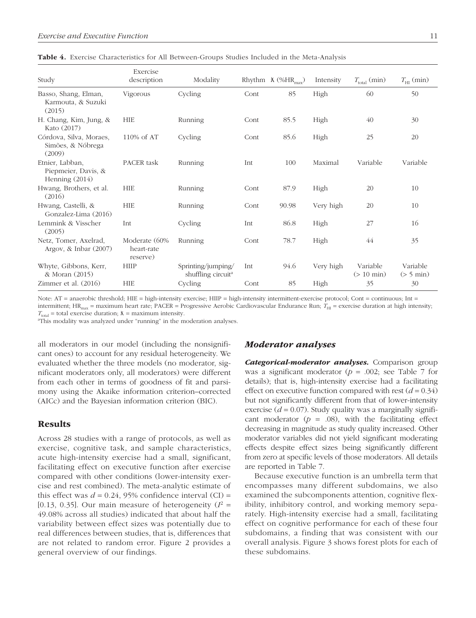| Study                                                      | Exercise<br>description                 | Modality                                             |      | Rhythm $\lambda$ (%HR <sub>max</sub> ) | Intensity | $T_{\text{total}}$ (min) | $T_{\text{HI}}$ (min) |
|------------------------------------------------------------|-----------------------------------------|------------------------------------------------------|------|----------------------------------------|-----------|--------------------------|-----------------------|
| Basso, Shang, Elman,<br>Karmouta, & Suzuki<br>(2015)       | Vigorous                                | Cycling                                              | Cont | 85                                     | High      | 60                       | 50                    |
| H. Chang, Kim, Jung, $\&$<br>Kato (2017)                   | <b>HIE</b>                              | Running                                              | Cont | 85.5                                   | High      | 40                       | 30                    |
| Córdova, Silva, Moraes,<br>Simões, & Nóbrega<br>(2009)     | $110\%$ of AT                           | Cycling                                              | Cont | 85.6                                   | High      | 25                       | 20                    |
| Etnier, Labban,<br>Piepmeier, Davis, &<br>Henning $(2014)$ | <b>PACER</b> task                       | Running                                              | Int  | 100                                    | Maximal   | Variable                 | Variable              |
| Hwang, Brothers, et al.<br>(2016)                          | <b>HIE</b>                              | Running                                              | Cont | 87.9                                   | High      | 20                       | 10                    |
| Hwang, Castelli, &<br>Gonzalez-Lima (2016)                 | <b>HIE</b>                              | Running                                              | Cont | 90.98                                  | Very high | 20                       | 10                    |
| Lemmink & Visscher<br>(2005)                               | Int                                     | Cycling                                              | Int  | 86.8                                   | High      | 27                       | 16                    |
| Netz, Tomer, Axelrad,<br>Argov, & Inbar (2007)             | Moderate (60%<br>heart-rate<br>reserve) | Running                                              | Cont | 78.7                                   | High      | 44                       | 35                    |
| Whyte, Gibbons, Kerr,<br>& Moran (2015)                    | <b>HIIP</b>                             | Sprinting/jumping/<br>shuffling circuit <sup>a</sup> | Int  | 94.6                                   | Very high | Variable<br>$(> 10$ min) | Variable<br>(> 5 min) |
| Zimmer et al. $(2016)$                                     | <b>HIE</b>                              | Cycling                                              | Cont | 85                                     | High      | 35                       | 30                    |

Table 4. Exercise Characteristics for All Between-Groups Studies Included in the Meta-Analysis

Note:  $AT =$  anaerobic threshold;  $HIE =$  high-intensity exercise;  $HIIP =$  high-intensity intermittent-exercise protocol; Cont = continuous; Int = intermittent; HR<sub>max</sub> = maximum heart rate; PACER = Progressive Aerobic Cardiovascular Endurance Run; T<sub>HI</sub> = exercise duration at high intensity;  $T_{\text{total}}$  = total exercise duration;  $\lambda$  = maximum intensity.

This modality was analyzed under "running" in the moderation analyses.

all moderators in our model (including the nonsignificant ones) to account for any residual heterogeneity. We evaluated whether the three models (no moderator, significant moderators only, all moderators) were different from each other in terms of goodness of fit and parsimony using the Akaike information criterion–corrected (AICc) and the Bayesian information criterion (BIC).

# **Results**

Across 28 studies with a range of protocols, as well as exercise, cognitive task, and sample characteristics, acute high-intensity exercise had a small, significant, facilitating effect on executive function after exercise compared with other conditions (lower-intensity exercise and rest combined). The meta-analytic estimate of this effect was  $d = 0.24$ , 95% confidence interval (CI) = [0.13, 0.35]. Our main measure of heterogeneity  $(I^2 =$ 49.08% across all studies) indicated that about half the variability between effect sizes was potentially due to real differences between studies, that is, differences that are not related to random error. Figure 2 provides a general overview of our findings.

## *Moderator analyses*

*Categorical-moderator analyses.* Comparison group was a significant moderator (*p* = .002; see Table 7 for details); that is, high-intensity exercise had a facilitating effect on executive function compared with rest  $(d = 0.34)$ but not significantly different from that of lower-intensity exercise  $(d = 0.07)$ . Study quality was a marginally significant moderator  $(p = .08)$ , with the facilitating effect decreasing in magnitude as study quality increased. Other moderator variables did not yield significant moderating effects despite effect sizes being significantly different from zero at specific levels of those moderators. All details are reported in Table 7.

Because executive function is an umbrella term that encompasses many different subdomains, we also examined the subcomponents attention, cognitive flexibility, inhibitory control, and working memory separately. High-intensity exercise had a small, facilitating effect on cognitive performance for each of these four subdomains, a finding that was consistent with our overall analysis. Figure 3 shows forest plots for each of these subdomains.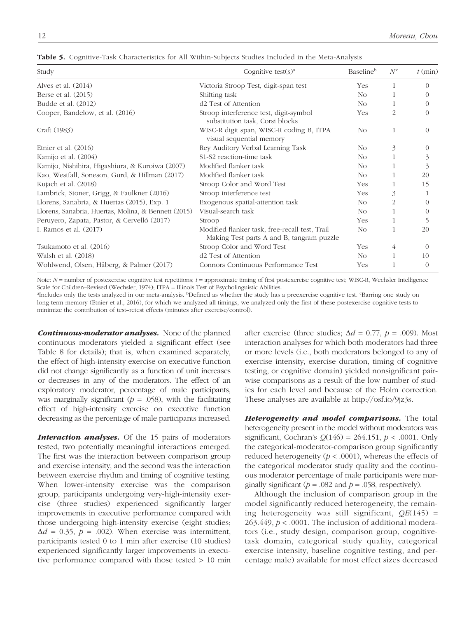| Study                                                | Cognitive test $(s)^a$                                                                      | Baselineb      | $N^{\text{c}}$ | $t$ (min)        |
|------------------------------------------------------|---------------------------------------------------------------------------------------------|----------------|----------------|------------------|
| Alves et al. $(2014)$                                | Victoria Stroop Test, digit-span test                                                       | Yes            | 1              | $\Omega$         |
| Berse et al. (2015)                                  | Shifting task                                                                               | N <sub>O</sub> |                | $\left( \right)$ |
| Budde et al. (2012)                                  | d2 Test of Attention                                                                        | N <sub>O</sub> |                | $\Omega$         |
| Cooper, Bandelow, et al. (2016)                      | Stroop interference test, digit-symbol<br>substitution task, Corsi blocks                   | Yes            | 2              | $\Omega$         |
| Craft (1983)                                         | WISC-R digit span, WISC-R coding B, ITPA<br>visual sequential memory                        | N <sub>O</sub> | 1              | $\Omega$         |
| Etnier et al. $(2016)$                               | Rey Auditory Verbal Learning Task                                                           | N <sub>O</sub> | 3              | $\Omega$         |
| Kamijo et al. (2004)                                 | S1-S2 reaction-time task                                                                    | N <sub>O</sub> |                | 3                |
| Kamijo, Nishihira, Higashiura, & Kuroiwa (2007)      | Modified flanker task                                                                       | N <sub>O</sub> |                | 3                |
| Kao, Westfall, Soneson, Gurd, & Hillman (2017)       | Modified flanker task                                                                       | N <sub>O</sub> |                | 20               |
| Kujach et al. (2018)                                 | Stroop Color and Word Test                                                                  | Yes            |                | 15               |
| Lambrick, Stoner, Grigg, & Faulkner (2016)           | Stroop interference test                                                                    | Yes            | 3              |                  |
| Llorens, Sanabria, & Huertas (2015), Exp. 1          | Exogenous spatial-attention task                                                            | N <sub>O</sub> | 2              | $\Omega$         |
| Llorens, Sanabria, Huertas, Molina, & Bennett (2015) | Visual-search task                                                                          | N <sub>O</sub> |                | $\left( \right)$ |
| Peruyero, Zapata, Pastor, & Cervelló (2017)          | Stroop                                                                                      | Yes            |                |                  |
| I. Ramos et al. (2017)                               | Modified flanker task, free-recall test, Trail<br>Making Test parts A and B, tangram puzzle | N <sub>O</sub> |                | 20               |
| Tsukamoto et al. (2016)                              | Stroop Color and Word Test                                                                  | Yes            | 4              | $\Omega$         |
| Walsh et al. (2018)                                  | d2 Test of Attention                                                                        | No             |                | 10               |
| Wohlwend, Olsen, Håberg, & Palmer (2017)             | Connors Continuous Performance Test                                                         | Yes            |                | $\Omega$         |

Table 5. Cognitive-Task Characteristics for All Within-Subjects Studies Included in the Meta-Analysis

Note:  $N =$  number of postexercise cognitive test repetitions;  $t =$  approximate timing of first postexercise cognitive test; WISC-R, Wechsler Intelligence Scale for Children–Revised (Wechsler, 1974); ITPA = Illinois Test of Psycholinguistic Abilities.

<sup>a</sup>Includes only the tests analyzed in our meta-analysis. <sup>b</sup>Defined as whether the study has a preexercise cognitive test. <sup>c</sup>Barring one study on long-term memory (Etnier et al., 2016), for which we analyzed all timings, we analyzed only the first of these postexercise cognitive tests to minimize the contribution of test–retest effects (minutes after exercise/control).

*Continuous-moderator analyses.* None of the planned continuous moderators yielded a significant effect (see Table 8 for details); that is, when examined separately, the effect of high-intensity exercise on executive function did not change significantly as a function of unit increases or decreases in any of the moderators. The effect of an exploratory moderator, percentage of male participants, was marginally significant  $(p = .058)$ , with the facilitating effect of high-intensity exercise on executive function decreasing as the percentage of male participants increased.

**Interaction analyses.** Of the 15 pairs of moderators tested, two potentially meaningful interactions emerged. The first was the interaction between comparison group and exercise intensity, and the second was the interaction between exercise rhythm and timing of cognitive testing. When lower-intensity exercise was the comparison group, participants undergoing very-high-intensity exercise (three studies) experienced significantly larger improvements in executive performance compared with those undergoing high-intensity exercise (eight studies;  $\Delta d = 0.35$ ,  $p = .002$ ). When exercise was intermittent, participants tested 0 to 1 min after exercise (10 studies) experienced significantly larger improvements in executive performance compared with those tested > 10 min after exercise (three studies;  $\Delta d = 0.77$ ,  $p = .009$ ). Most interaction analyses for which both moderators had three or more levels (i.e., both moderators belonged to any of exercise intensity, exercise duration, timing of cognitive testing, or cognitive domain) yielded nonsignificant pairwise comparisons as a result of the low number of studies for each level and because of the Holm correction. These analyses are available at [http://osf.io/9jz3s.](http://osf.io/9jz3s)

*Heterogeneity and model comparisons.* The total heterogeneity present in the model without moderators was significant, Cochran's *Q*(146) = 264.151, *p* < .0001. Only the categorical-moderator-comparison group significantly reduced heterogeneity ( $p < .0001$ ), whereas the effects of the categorical moderator study quality and the continuous moderator percentage of male participants were marginally significant ( $p = .082$  and  $p = .058$ , respectively).

Although the inclusion of comparison group in the model significantly reduced heterogeneity, the remaining heterogeneity was still significant, *QE*(145) = 263.449, *p* < .0001. The inclusion of additional moderators (i.e., study design, comparison group, cognitivetask domain, categorical study quality, categorical exercise intensity, baseline cognitive testing, and percentage male) available for most effect sizes decreased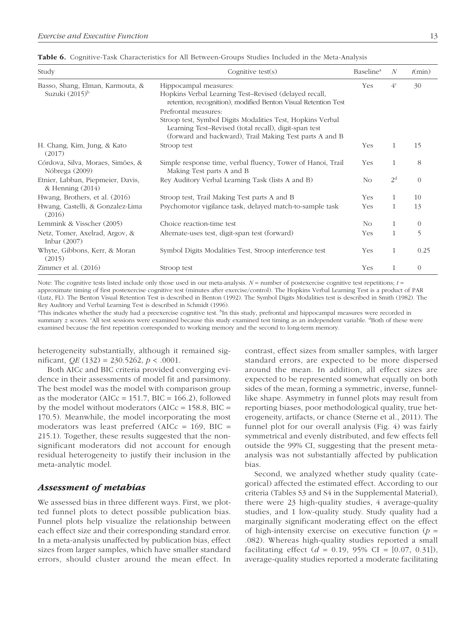| Study                                                   | Cognitive test $(s)$                                                                                                                                                                                                                                                                                                                                       | <b>Baseline</b> <sup>a</sup> | N              | $t(\min)$ |
|---------------------------------------------------------|------------------------------------------------------------------------------------------------------------------------------------------------------------------------------------------------------------------------------------------------------------------------------------------------------------------------------------------------------------|------------------------------|----------------|-----------|
| Basso, Shang, Elman, Karmouta, &<br>Suzuki $(2015)^{b}$ | Hippocampal measures:<br>Hopkins Verbal Learning Test-Revised (delayed recall,<br>retention, recognition), modified Benton Visual Retention Test<br>Prefrontal measures:<br>Stroop test, Symbol Digits Modalities Test, Hopkins Verbal<br>Learning Test-Revised (total recall), digit-span test<br>(forward and backward), Trail Making Test parts A and B | Yes                          | 4 <sup>c</sup> | 30        |
| H. Chang, Kim, Jung, & Kato<br>Stroop test<br>(2017)    |                                                                                                                                                                                                                                                                                                                                                            | Yes                          | 1              | 15        |
| Córdova, Silva, Moraes, Simões, &<br>Nóbrega (2009)     | Simple response time, verbal fluency, Tower of Hanoi, Trail<br>Making Test parts A and B                                                                                                                                                                                                                                                                   | Yes                          | 1              | 8         |
| Etnier, Labban, Piepmeier, Davis,<br>& Henning (2014)   | Rey Auditory Verbal Learning Task (lists A and B)                                                                                                                                                                                                                                                                                                          | No                           | 2 <sup>d</sup> | $\Omega$  |
| Hwang, Brothers, et al. (2016)                          | Stroop test, Trail Making Test parts A and B                                                                                                                                                                                                                                                                                                               | Yes                          | 1              | 10        |
| Hwang, Castelli, & Gonzalez-Lima<br>(2016)              | Psychomotor vigilance task, delayed match-to-sample task                                                                                                                                                                                                                                                                                                   | Yes                          | 1              | 13        |
| Lemmink & Visscher (2005)                               | Choice reaction-time test                                                                                                                                                                                                                                                                                                                                  | N <sub>O</sub>               | 1              | $\theta$  |
| Netz, Tomer, Axelrad, Argov, &<br>Inbar $(2007)$        | Alternate-uses test, digit-span test (forward)                                                                                                                                                                                                                                                                                                             | Yes                          | 1              | 5         |
| Whyte, Gibbons, Kerr, & Moran<br>(2015)                 | Symbol Digits Modalities Test, Stroop interference test                                                                                                                                                                                                                                                                                                    | Yes                          | 1              | 0.25      |
| Zimmer et al. $(2016)$<br>Stroop test                   |                                                                                                                                                                                                                                                                                                                                                            | Yes                          | 1              | $\theta$  |

Table 6. Cognitive-Task Characteristics for All Between-Groups Studies Included in the Meta-Analysis

Note: The cognitive tests listed include only those used in our meta-analysis. *N* = number of postexercise cognitive test repetitions; *t* = approximate timing of first postexercise cognitive test (minutes after exercise/control). The Hopkins Verbal Learning Test is a product of PAR (Lutz, FL). The Benton Visual Retention Test is described in Benton (1992). The Symbol Digits Modalities test is described in Smith (1982). The Rey Auditory and Verbal Learning Test is described in Schmidt (1996).

<sup>a</sup>This indicates whether the study had a preexercise cognitive test. <sup>b</sup>In this study, prefrontal and hippocampal measures were recorded in summary *z* scores. All test sessions were examined because this study examined test timing as an independent variable. <sup>d</sup>Both of these were examined because the first repetition corresponded to working memory and the second to long-term memory.

heterogeneity substantially, although it remained significant, *QE* (132) = 230.5262, *p* < .0001.

Both AICc and BIC criteria provided converging evidence in their assessments of model fit and parsimony. The best model was the model with comparison group as the moderator (AICc =  $151.7$ , BIC =  $166.2$ ), followed by the model without moderators  $(AICc = 158.8, BIC =$ 170.5). Meanwhile, the model incorporating the most moderators was least preferred (AIC $c = 169$ , BIC = 215.1). Together, these results suggested that the nonsignificant moderators did not account for enough residual heterogeneity to justify their inclusion in the meta-analytic model.

## *Assessment of metabias*

We assessed bias in three different ways. First, we plotted funnel plots to detect possible publication bias. Funnel plots help visualize the relationship between each effect size and their corresponding standard error. In a meta-analysis unaffected by publication bias, effect sizes from larger samples, which have smaller standard errors, should cluster around the mean effect. In contrast, effect sizes from smaller samples, with larger standard errors, are expected to be more dispersed around the mean. In addition, all effect sizes are expected to be represented somewhat equally on both sides of the mean, forming a symmetric, inverse, funnellike shape. Asymmetry in funnel plots may result from reporting biases, poor methodological quality, true heterogeneity, artifacts, or chance (Sterne et al., 2011). The funnel plot for our overall analysis (Fig. 4) was fairly symmetrical and evenly distributed, and few effects fell outside the 99% CI, suggesting that the present metaanalysis was not substantially affected by publication bias.

Second, we analyzed whether study quality (categorical) affected the estimated effect. According to our criteria (Tables S3 and S4 in the Supplemental Material), there were 23 high-quality studies, 4 average-quality studies, and 1 low-quality study. Study quality had a marginally significant moderating effect on the effect of high-intensity exercise on executive function  $(p =$ .082). Whereas high-quality studies reported a small facilitating effect  $(d = 0.19, 95\% \text{ CI} = [0.07, 0.31]),$ average-quality studies reported a moderate facilitating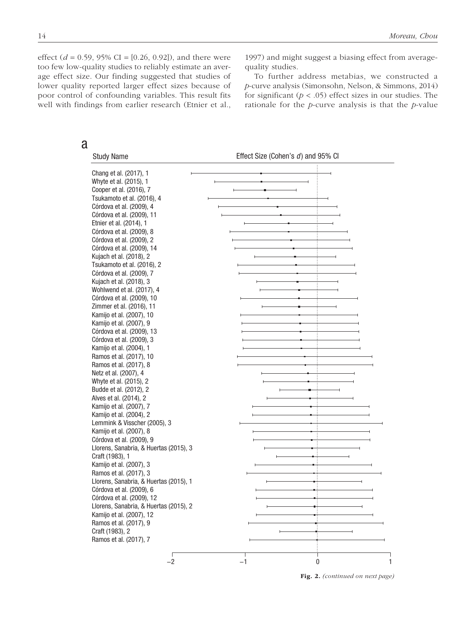effect ( $d = 0.59, 95\%$  CI = [0.26, 0.92]), and there were too few low-quality studies to reliably estimate an average effect size. Our finding suggested that studies of lower quality reported larger effect sizes because of poor control of confounding variables. This result fits well with findings from earlier research (Etnier et al.,

1997) and might suggest a biasing effect from averagequality studies.

To further address metabias, we constructed a *p*-curve analysis (Simonsohn, Nelson, & Simmons, 2014) for significant  $(p < .05)$  effect sizes in our studies. The rationale for the *p*-curve analysis is that the *p*-value



Fig. 2. *(continued on next page)*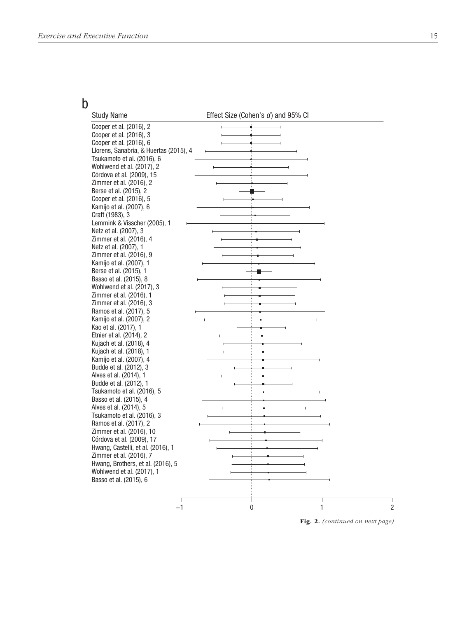b



Fig. 2. *(continued on next page)*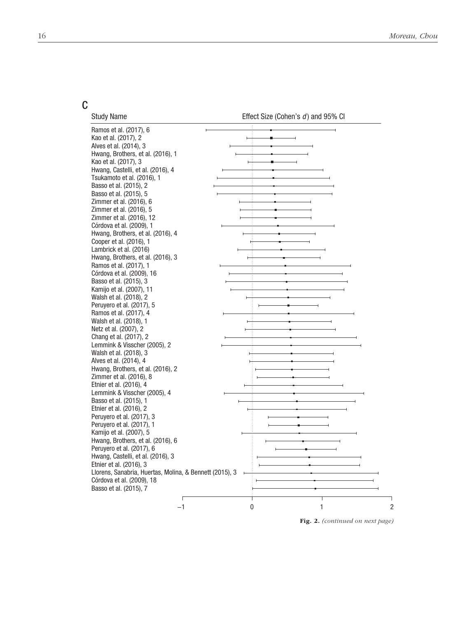# c

Study Name Effect Size (Cohen's *d* ) and 95% CI −1 0 1 2 Llorens, Sanabria, Huertas, Molina, & Bennett (2015), 3 Etnier et al. (2016), 3 Hwang, Castelli, et al. (2016), 3 Peruyero et al. (2017), 6 Hwang, Brothers, et al. (2016), 6 Kamijo et al. (2007), 5 Peruyero et al. (2017), 1 Peruyero et al. (2017), 3 Etnier et al. (2016), 2 Basso et al. (2015), 1 Lemmink & Visscher (2005), 4 Etnier et al. (2016), 4 Zimmer et al. (2016), 8 Hwang, Brothers, et al. (2016), 2 Alves et al. (2014), 4 Walsh et al. (2018), 3 Lemmink & Visscher (2005), 2 Chang et al. (2017), 2 Netz et al. (2007), 2 Walsh et al. (2018), 1 Ramos et al. (2017), 4 Peruyero et al. (2017), 5 Walsh et al. (2018), 2 Kamijo et al. (2007), 11 Basso et al. (2015), 3 Córdova et al. (2009), 16 Ramos et al. (2017), 1 Hwang, Brothers, et al. (2016), 3 Lambrick et al. (2016) Cooper et al. (2016), 1 Hwang, Brothers, et al. (2016), 4 Córdova et al. (2009), 1 Zimmer et al. (2016), 12 Zimmer et al. (2016), 5 Zimmer et al. (2016), 6 Basso et al. (2015), 5 Basso et al. (2015), 2 Tsukamoto et al. (2016), 1 Hwang, Castelli, et al. (2016), 4 Kao et al. (2017), 3 Hwang, Brothers, et al. (2016), 1 Alves et al. (2014), 3 Kao et al. (2017), 2 Ramos et al. (2017), 6 Basso et al. (2015), 7 Córdova et al. (2009), 18

Fig. 2. *(continued on next page)*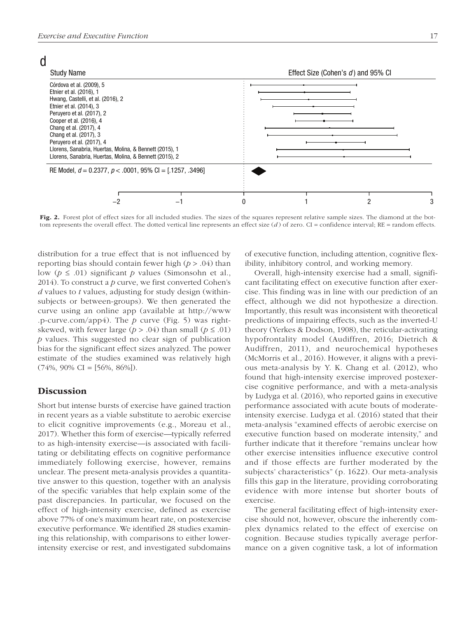d

| Q<br><b>Study Name</b>                                                                                                                                                                                                                                                                                                                                                             | Effect Size (Cohen's d) and 95% CI |  |
|------------------------------------------------------------------------------------------------------------------------------------------------------------------------------------------------------------------------------------------------------------------------------------------------------------------------------------------------------------------------------------|------------------------------------|--|
| Córdova et al. (2009), 5<br>Etnier et al. (2016), 1<br>Hwang, Castelli, et al. (2016), 2<br>Etnier et al. (2014), 3<br>Peruyero et al. (2017), 2<br>Cooper et al. (2016), 4<br>Chang et al. (2017), 4<br>Chang et al. (2017), 3<br>Peruyero et al. (2017), 4<br>Llorens, Sanabria, Huertas, Molina, & Bennett (2015), 1<br>Llorens, Sanabria, Huertas, Molina, & Bennett (2015), 2 |                                    |  |
| RE Model, $d = 0.2377$ , $p < .0001$ , 95% CI = [.1257, .3496]                                                                                                                                                                                                                                                                                                                     |                                    |  |

Fig. 2. Forest plot of effect sizes for all included studies. The sizes of the squares represent relative sample sizes. The diamond at the bottom represents the overall effect. The dotted vertical line represents an effect size (*d* ) of zero. CI = confidence interval; RE = random effects.

distribution for a true effect that is not influenced by reporting bias should contain fewer high (*p* > .04) than low (*p* ≤ .01) significant *p* values (Simonsohn et al., 2014). To construct a *p* curve, we first converted Cohen's *d* values to *t* values, adjusting for study design (withinsubjects or between-groups). We then generated the curve using an online app (available at [http://www](http://www.p-curve.com/app4) [.p-curve.com/app4\)](http://www.p-curve.com/app4). The *p* curve (Fig. 5) was rightskewed, with fewer large ( $p > .04$ ) than small ( $p \le .01$ ) *p* values. This suggested no clear sign of publication bias for the significant effect sizes analyzed. The power estimate of the studies examined was relatively high  $(74\%, 90\% \text{ CI} = [56\%, 86\%]).$ 

# **Discussion**

Short but intense bursts of exercise have gained traction in recent years as a viable substitute to aerobic exercise to elicit cognitive improvements (e.g., Moreau et al., 2017). Whether this form of exercise*—*typically referred to as high-intensity exercise*—*is associated with facilitating or debilitating effects on cognitive performance immediately following exercise, however, remains unclear. The present meta-analysis provides a quantitative answer to this question, together with an analysis of the specific variables that help explain some of the past discrepancies. In particular, we focused on the effect of high-intensity exercise, defined as exercise above 77% of one's maximum heart rate, on postexercise executive performance. We identified 28 studies examining this relationship, with comparisons to either lowerintensity exercise or rest, and investigated subdomains of executive function, including attention, cognitive flexibility, inhibitory control, and working memory.

Overall, high-intensity exercise had a small, significant facilitating effect on executive function after exercise. This finding was in line with our prediction of an effect, although we did not hypothesize a direction. Importantly, this result was inconsistent with theoretical predictions of impairing effects, such as the inverted-U theory (Yerkes & Dodson, 1908), the reticular-activating hypofrontality model (Audiffren, 2016; Dietrich & Audiffren, 2011), and neurochemical hypotheses (McMorris et al., 2016). However, it aligns with a previous meta-analysis by Y. K. Chang et al. (2012), who found that high-intensity exercise improved postexercise cognitive performance, and with a meta-analysis by Ludyga et al. (2016), who reported gains in executive performance associated with acute bouts of moderateintensity exercise. Ludyga et al. (2016) stated that their meta-analysis "examined effects of aerobic exercise on executive function based on moderate intensity," and further indicate that it therefore "remains unclear how other exercise intensities influence executive control and if those effects are further moderated by the subjects' characteristics" (p. 1622). Our meta-analysis fills this gap in the literature, providing corroborating evidence with more intense but shorter bouts of exercise.

The general facilitating effect of high-intensity exercise should not, however, obscure the inherently complex dynamics related to the effect of exercise on cognition. Because studies typically average performance on a given cognitive task, a lot of information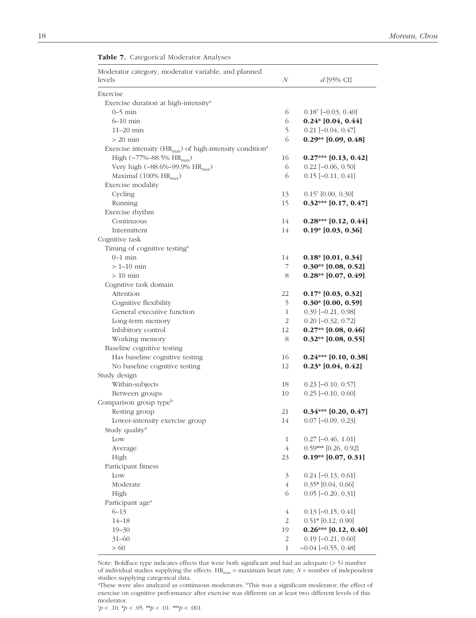| Moderator category, moderator variable, and planned                               |                |                                |
|-----------------------------------------------------------------------------------|----------------|--------------------------------|
| levels                                                                            | N              | $d$ [95% CI]                   |
| Exercise                                                                          |                |                                |
| Exercise duration at high-intensity <sup>a</sup>                                  |                |                                |
| $0-5$ min                                                                         | 6              | $0.18^{\dagger}$ [-0.03, 0.40] |
| $6-10$ min                                                                        | 6              | $0.24*$ [0.04, 0.44]           |
| $11-20$ min                                                                       | 5              | $0.21$ [ $-0.04$ , $0.47$ ]    |
| $> 20$ min                                                                        | 6              | $0.29**$ [0.09, 0.48]          |
| Exercise intensity ( $HR_{\text{max}}$ ) of high-intensity condition <sup>a</sup> |                |                                |
| High $(\sim 77\% - 88.5\% \text{ HR}_{\text{max}})$                               | 16             | $0.27***$ [0.13, 0.42]         |
| Very high (~88.6%-99.9% HR <sub>max</sub> )                                       | 6              | $0.22$ [-0.06, 0.50]           |
| Maximal (100% $HR_{max}$ )                                                        | 6              | $0.15[-0.11, 0.41]$            |
| Exercise modality                                                                 |                |                                |
| Cycling                                                                           | 13             | $0.15^{\dagger}$ [0.00, 0.30]  |
| Running                                                                           | 15             | $0.32***$ [0.17, 0.47]         |
| Exercise rhythm                                                                   |                |                                |
| Continuous                                                                        | 14             | $0.28***$ [0.12, 0.44]         |
| Intermittent                                                                      | 14             | $0.19*$ [0.03, 0.36]           |
| Cognitive task                                                                    |                |                                |
| Timing of cognitive testing <sup>a</sup>                                          |                |                                |
| $0-1$ min                                                                         | 14             | $0.18*$ [0.01, 0.34]           |
| $>1-10$ min                                                                       | 7              | $0.30**$ [0.08, 0.52]          |
| $>10$ min                                                                         | 8              | $0.28**$ [0.07, 0.49]          |
| Cognitive task domain                                                             |                |                                |
| Attention                                                                         | 22             | $0.17*$ [0.03, 0.32]           |
| Cognitive flexibility                                                             | 5              | $0.30*$ [0.00, 0.59]           |
| General executive function                                                        | 1              | $0.39$ [ $-0.21$ , $0.98$ ]    |
| Long-term memory                                                                  | 2              | $0.20$ [ $-0.32$ , $0.72$ ]    |
| Inhibitory control                                                                | 12             | $0.27**$ [0.08, 0.46]          |
| Working memory                                                                    | 8              | $0.32**$ [0.08, 0.55]          |
| Baseline cognitive testing                                                        |                |                                |
| Has baseline cognitive testing                                                    | 16             | $0.24***$ [0.10, 0.38]         |
| No baseline cognitive testing                                                     | 12             | $0.23*$ [0.04, 0.42]           |
| Study design                                                                      |                |                                |
| Within-subjects                                                                   | 18             | $0.23$ [-0.10, 0.57]           |
| Between groups                                                                    | 10             | $0.25$ [ $-0.10, 0.60$ ]       |
| Comparison group type <sup>b</sup>                                                |                |                                |
| Resting group                                                                     | 21             | $0.34***$ [0.20, 0.47]         |
| Lower-intensity exercise group                                                    | 14             | $0.07$ [ $-0.09$ , $0.23$ ]    |
| Study quality <sup>a</sup>                                                        |                |                                |
| Low                                                                               | 1              | $0.27[-0.46, 1.01]$            |
| Average                                                                           | $\overline{4}$ | $0.59***$ [0.26, 0.92]         |
| High                                                                              | 23             | $0.19**$ [0.07, 0.31]          |
| Participant fitness                                                               |                |                                |
| Low                                                                               | 3              | $0.24$ [ $-0.13$ , $0.61$ ]    |
| Moderate                                                                          | $\overline{4}$ | $0.35*$ [0.04, 0.66]           |
| High                                                                              | 6              | $0.05$ [ $-0.20, 0.31$ ]       |
| Participant age <sup>a</sup>                                                      |                |                                |
| $6 - 13$                                                                          | 4              | $0.13$ [ $-0.15$ , $0.41$ ]    |
| $14 - 18$                                                                         | $\overline{2}$ | $0.51*$ [0.12, 0.90]           |
| $19 - 30$                                                                         | 19             | $0.26***$ [0.12, 0.40]         |
| $31 - 60$                                                                         | $\overline{2}$ | $0.19$ [ $-0.21$ , $0.60$ ]    |
| >60                                                                               | 1              | $-0.04$ [ $-0.55$ , 0.48]      |

Table 7. Categorical Moderator Analyses

Note: Boldface type indicates effects that were both significant and had an adequate (> 5) number of individual studies supplying the effects.  $HR_{max} =$  maximum heart rate;  $N =$  number of independent studies supplying categorical data.

<sup>a</sup>These were also analyzed as continuous moderators. <sup>b</sup>This was a significant moderator; the effect of exercise on cognitive performance after exercise was different on at least two different levels of this moderator.

 $\phi$  < .10.  $\phi$  < .05. \*\**p* < .01. \*\**p* < .001.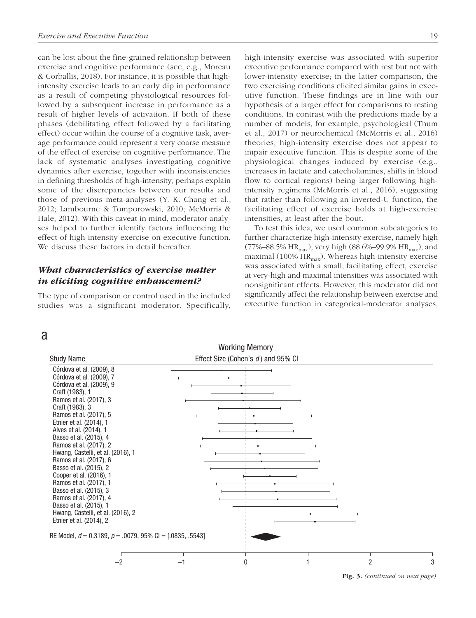can be lost about the fine-grained relationship between exercise and cognitive performance (see, e.g., Moreau & Corballis, 2018). For instance, it is possible that highintensity exercise leads to an early dip in performance as a result of competing physiological resources followed by a subsequent increase in performance as a result of higher levels of activation. If both of these phases (debilitating effect followed by a facilitating effect) occur within the course of a cognitive task, average performance could represent a very coarse measure of the effect of exercise on cognitive performance. The lack of systematic analyses investigating cognitive dynamics after exercise, together with inconsistencies in defining thresholds of high-intensity, perhaps explain some of the discrepancies between our results and those of previous meta-analyses (Y. K. Chang et al., 2012; Lambourne & Tomporowski, 2010; McMorris & Hale, 2012). With this caveat in mind, moderator analyses helped to further identify factors influencing the effect of high-intensity exercise on executive function. We discuss these factors in detail hereafter.

# *What characteristics of exercise matter in eliciting cognitive enhancement?*

The type of comparison or control used in the included studies was a significant moderator. Specifically, high-intensity exercise was associated with superior executive performance compared with rest but not with lower-intensity exercise; in the latter comparison, the two exercising conditions elicited similar gains in executive function. These findings are in line with our hypothesis of a larger effect for comparisons to resting conditions. In contrast with the predictions made by a number of models, for example, psychological (Thum et al., 2017) or neurochemical (McMorris et al., 2016) theories, high-intensity exercise does not appear to impair executive function. This is despite some of the physiological changes induced by exercise (e.g., increases in lactate and catecholamines, shifts in blood flow to cortical regions) being larger following highintensity regimens (McMorris et al., 2016), suggesting that rather than following an inverted-U function, the facilitating effect of exercise holds at high-exercise intensities, at least after the bout.

To test this idea, we used common subcategories to further characterize high-intensity exercise, namely high (77%–88.5% HR<sub>max</sub>), very high (88.6%–99.9% HR<sub>max</sub>), and maximal (100%  $HR_{max}$ ). Whereas high-intensity exercise was associated with a small, facilitating effect, exercise at very-high and maximal intensities was associated with nonsignificant effects. However, this moderator did not significantly affect the relationship between exercise and executive function in categorical-moderator analyses,

a



Fig. 3. *(continued on next page)*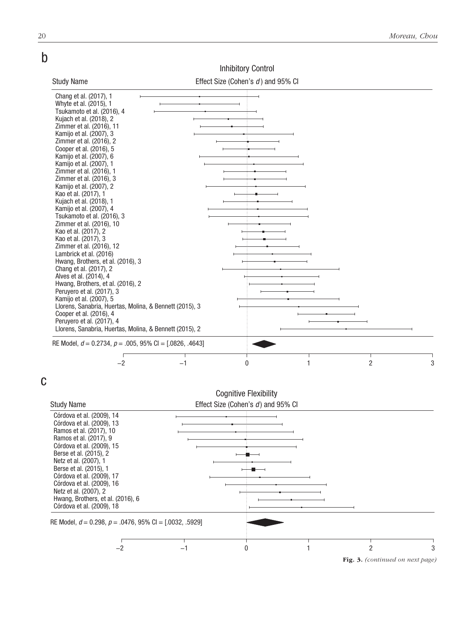### Study Name Effect Size (Cohen's *d* ) and 95% CI Chang et al. (2017), 1 Whyte et al. (2015), 1 Tsukamoto et al. (2016), 4 Kujach et al. (2018), 2 Zimmer et al. (2016), 11 Kamijo et al. (2007), 3 Zimmer et al. (2016), 2 Cooper et al. (2016), 5 Kamijo et al. (2007), 6 Kamijo et al. (2007), 1 Zimmer et al. (2016), 1 Zimmer et al. (2016), 3 Kamijo et al. (2007), 2 Kao et al. (2017), 1 Kujach et al. (2018), 1 Kamijo et al. (2007), 4 Tsukamoto et al. (2016), 3 Zimmer et al. (2016), 10 Kao et al. (2017), 2 Kao et al. (2017), 3 Zimmer et al. (2016), 12 Lambrick et al. (2016) Hwang, Brothers, et al. (2016), 3 Chang et al. (2017), 2 Alves et al. (2014), 4 Hwang, Brothers, et al. (2016), 2 Peruyero et al. (2017), 3 Kamijo et al. (2007), 5 Llorens, Sanabria, Huertas, Molina, & Bennett (2015), 3 Inhibitory Control

RE Model, *d* = 0.2734, *p* = .005, 95% CI = [.0826, .4643]

Llorens, Sanabria, Huertas, Molina, & Bennett (2015), 2

Cooper et al. (2016), 4 Peruyero et al. (2017), 4

# c



−2 −1 0 1 2 3

Fig. 3. *(continued on next page)*

b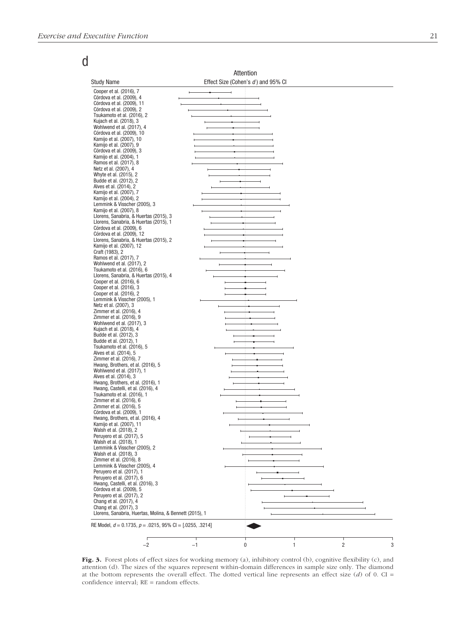# d

|                                                                                   | Attention                          |
|-----------------------------------------------------------------------------------|------------------------------------|
| Study Name                                                                        | Effect Size (Cohen's d) and 95% CI |
| Cooper et al. (2016), 7                                                           |                                    |
| Córdova et al. (2009), 4                                                          |                                    |
| Córdova et al. (2009), 11                                                         |                                    |
| Córdova et al. (2009), 2                                                          |                                    |
| Tsukamoto et al. (2016), 2<br>Kujach et al. (2018), 3                             |                                    |
| Wohlwend et al. (2017), 4                                                         |                                    |
| Córdova et al. (2009), 10                                                         |                                    |
| Kamijo et al. (2007), 10                                                          |                                    |
| Kamijo et al. (2007), 9<br>Córdova et al. (2009), 3                               |                                    |
| Kamijo et al. (2004), 1                                                           |                                    |
| Ramos et al. (2017), 8                                                            |                                    |
| Netz et al. (2007), 4                                                             |                                    |
| Whyte et al. (2015), 2<br>Budde et al. (2012), 2                                  |                                    |
| Alves et al. (2014), 2                                                            |                                    |
| Kamijo et al. (2007), 7                                                           |                                    |
| Kamijo et al. (2004), 2                                                           |                                    |
| Lemmink & Visscher (2005), 3<br>Kamijo et al. (2007), 8                           |                                    |
| Llorens, Sanabria, & Huertas (2015), 3                                            |                                    |
| Llorens, Sanabria, & Huertas (2015), 1                                            |                                    |
| Córdova et al. (2009), 6<br>Córdova et al. (2009), 12                             |                                    |
| Llorens, Sanabria, & Huertas (2015), 2                                            |                                    |
| Kamijo et al. (2007), 12                                                          |                                    |
| Craft (1983), 2                                                                   |                                    |
| Ramos et al. (2017), 7                                                            |                                    |
| Wohlwend et al. (2017), 2<br>Tsukamoto et al. (2016), 6                           |                                    |
| Llorens, Sanabria, & Huertas (2015), 4                                            |                                    |
| Cooper et al. (2016), 6                                                           |                                    |
| Cooper et al. (2016), 3<br>Cooper et al. (2016), 2                                |                                    |
| Lemmink & Visscher (2005), 1                                                      |                                    |
| Netz et al. (2007), 3                                                             |                                    |
| Zimmer et al. (2016), 4                                                           |                                    |
| Zimmer et al. (2016), 9<br>Wohlwend et al. (2017), 3                              |                                    |
| Kujach et al. (2018), 4                                                           |                                    |
| Budde et al. (2012), 3                                                            |                                    |
| Budde et al. (2012), 1<br>Tsukamoto et al. (2016), 5                              |                                    |
| Alves et al. (2014), 5                                                            |                                    |
| Zimmer et al. (2016), 7                                                           |                                    |
| Hwang, Brothers, et al. (2016), 5                                                 |                                    |
| Wohlwend et al. (2017), 1<br>Alves et al. (2014), 3                               |                                    |
| Hwang, Brothers, et al. (2016), 1                                                 |                                    |
| Hwang, Castelli, et al. (2016), 4                                                 |                                    |
| Tsukamoto et al. (2016), 1                                                        |                                    |
| Zimmer et al. (2016), 6<br>Zimmer et al. (2016), 5                                |                                    |
| Córdova et al. (2009), 1                                                          |                                    |
| Hwang, Brothers, et al. (2016), 4                                                 |                                    |
| Kamijo et al. (2007), 11<br>Walsh et al. (2018), 2                                |                                    |
| Peruyero et al. (2017), 5                                                         |                                    |
| Walsh et al. (2018), 1                                                            |                                    |
| Lemmink & Visscher (2005), 2                                                      |                                    |
| Walsh et al. (2018), 3<br>Zimmer et al. (2016), 8                                 |                                    |
| Lemmink & Visscher (2005), 4                                                      |                                    |
| Peruyero et al. (2017), 1                                                         |                                    |
| Peruyero et al. (2017), 6                                                         |                                    |
| Hwang, Castelli, et al. (2016), 3<br>Córdova et al. (2009), 5                     |                                    |
| Peruyero et al. (2017), 2                                                         |                                    |
| Chang et al. (2017), 4                                                            |                                    |
| Chang et al. (2017), 3<br>Llorens, Sanabria, Huertas, Molina, & Bennett (2015), 1 |                                    |
|                                                                                   |                                    |
| RE Model, $d = 0.1735$ , $p = .0215$ , 95% CI = [.0255, .3214]                    |                                    |
|                                                                                   |                                    |
| -2<br>$-1$                                                                        | $\overline{c}$<br>0<br>3           |
|                                                                                   |                                    |

Fig. 3. Forest plots of effect sizes for working memory (a), inhibitory control (b), cognitive flexibility (c), and attention (d). The sizes of the squares represent within-domain differences in sample size only. The diamond at the bottom represents the overall effect. The dotted vertical line represents an effect size (*d*) of 0. CI = confidence interval; RE = random effects.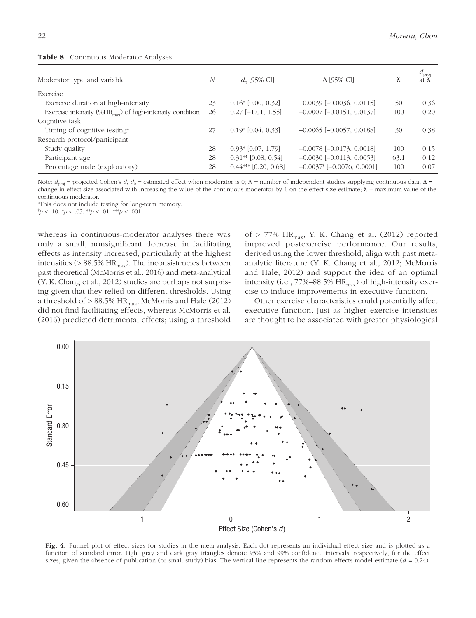| Moderator type and variable                                    | $\mathcal{N}_{0}$ | $d_0$ [95% CI]         | $\Delta$ [95% CI]                            | λ    | $d_{\text{proj}}$<br>at X |
|----------------------------------------------------------------|-------------------|------------------------|----------------------------------------------|------|---------------------------|
| Exercise                                                       |                   |                        |                                              |      |                           |
| Exercise duration at high-intensity                            | 23                | $0.16*$ [0.00, 0.32]   | $+0.0039$ [ $-0.0036$ , 0.0115]              | 50   | 0.36                      |
| Exercise intensity (% $HR_{max}$ ) of high-intensity condition | 26                | $0.27$ [-1.01, 1.55]   | $-0.0007$ $[-0.0151, 0.0137]$                | 100  | 0.20                      |
| Cognitive task                                                 |                   |                        |                                              |      |                           |
| Timing of cognitive testing <sup>a</sup>                       | 27                | $0.19*$ [0.04, 0.33]   | $+0.0065$ [ $-0.0057$ , 0.0188]              | 30   | 0.38                      |
| Research protocol/participant                                  |                   |                        |                                              |      |                           |
| Study quality                                                  | 28                | $0.93*$ [0.07, 1.79]   | $-0.0078$ $[-0.0173, 0.0018]$                | 100  | 0.15                      |
| Participant age                                                | 28                | $0.31**$ [0.08, 0.54]  | $-0.0030$ $[-0.0113, 0.0053]$                | 63.1 | 0.12                      |
| Percentage male (exploratory)                                  | 28                | $0.44***$ [0.20, 0.68] | $-0.0037$ <sup>†</sup> [ $-0.0076, 0.0001$ ] | 100  | 0.07                      |

#### Table 8. Continuous Moderator Analyses

Note:  $d_{\text{proj}}$  = projected Cohen's  $d$ ;  $d_0$  = estimated effect when moderator is 0; *N* = number of independent studies supplying continuous data;  $\Delta$  = change in effect size associated with increasing the value of the continuous moderator by 1 on the effect-size estimate;  $\lambda$  = maximum value of the continuous moderator.

a This does not include testing for long-term memory.

 $\ddot{p} < .10.$   $\ddot{p} < .05.$   $\ddot{p} < .01.$   $\ddot{p} < .001.$ 

whereas in continuous-moderator analyses there was only a small, nonsignificant decrease in facilitating effects as intensity increased, particularly at the highest intensities ( $> 88.5\%$  HR<sub>max</sub>). The inconsistencies between past theoretical (McMorris et al., 2016) and meta-analytical (Y. K. Chang et al., 2012) studies are perhaps not surprising given that they relied on different thresholds. Using a threshold of  $> 88.5\%$  HR<sub>max</sub>, McMorris and Hale (2012) did not find facilitating effects, whereas McMorris et al. (2016) predicted detrimental effects; using a threshold of  $> 77\%$  HR<sub>max</sub>, Y. K. Chang et al. (2012) reported improved postexercise performance. Our results, derived using the lower threshold, align with past metaanalytic literature (Y. K. Chang et al., 2012; McMorris and Hale, 2012) and support the idea of an optimal intensity (i.e.,  $77\% - 88.5\%$  HR<sub>max</sub>) of high-intensity exercise to induce improvements in executive function.

Other exercise characteristics could potentially affect executive function. Just as higher exercise intensities are thought to be associated with greater physiological



Fig. 4. Funnel plot of effect sizes for studies in the meta-analysis. Each dot represents an individual effect size and is plotted as a function of standard error. Light gray and dark gray triangles denote 95% and 99% confidence intervals, respectively, for the effect sizes, given the absence of publication (or small-study) bias. The vertical line represents the random-effects-model estimate  $(d = 0.24)$ .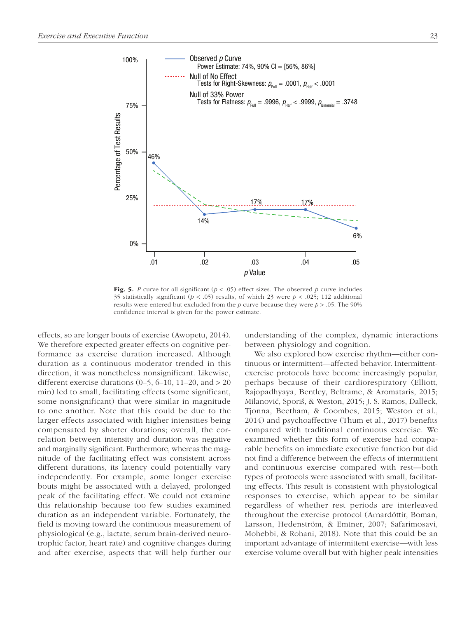

Fig. 5. *P* curve for all significant ( $p < .05$ ) effect sizes. The observed  $p$  curve includes 35 statistically significant ( $p < .05$ ) results, of which 23 were  $p < .025$ ; 112 additional results were entered but excluded from the  $p$  curve because they were  $p > .05$ . The 90% confidence interval is given for the power estimate.

effects, so are longer bouts of exercise (Awopetu, 2014). We therefore expected greater effects on cognitive performance as exercise duration increased. Although duration as a continuous moderator trended in this direction, it was nonetheless nonsignificant. Likewise, different exercise durations  $(0-5, 6-10, 11-20,$  and  $> 20$ min) led to small, facilitating effects (some significant, some nonsignificant) that were similar in magnitude to one another. Note that this could be due to the larger effects associated with higher intensities being compensated by shorter durations; overall, the correlation between intensity and duration was negative and marginally significant. Furthermore, whereas the magnitude of the facilitating effect was consistent across different durations, its latency could potentially vary independently. For example, some longer exercise bouts might be associated with a delayed, prolonged peak of the facilitating effect. We could not examine this relationship because too few studies examined duration as an independent variable. Fortunately, the field is moving toward the continuous measurement of physiological (e.g., lactate, serum brain-derived neurotrophic factor, heart rate) and cognitive changes during and after exercise, aspects that will help further our

understanding of the complex, dynamic interactions between physiology and cognition.

We also explored how exercise rhythm*—*either continuous or intermittent*—*affected behavior. Intermittentexercise protocols have become increasingly popular, perhaps because of their cardiorespiratory (Elliott, Rajopadhyaya, Bentley, Beltrame, & Aromataris, 2015; Milanovic´, Sporiš, & Weston, 2015; J. S. Ramos, Dalleck, Tjonna, Beetham, & Coombes, 2015; Weston et al., 2014) and psychoaffective (Thum et al., 2017) benefits compared with traditional continuous exercise. We examined whether this form of exercise had comparable benefits on immediate executive function but did not find a difference between the effects of intermittent and continuous exercise compared with rest—both types of protocols were associated with small, facilitating effects. This result is consistent with physiological responses to exercise, which appear to be similar regardless of whether rest periods are interleaved throughout the exercise protocol (Arnardóttir, Boman, Larsson, Hedenström, & Emtner, 2007; Safarimosavi, Mohebbi, & Rohani, 2018). Note that this could be an important advantage of intermittent exercise*—*with less exercise volume overall but with higher peak intensities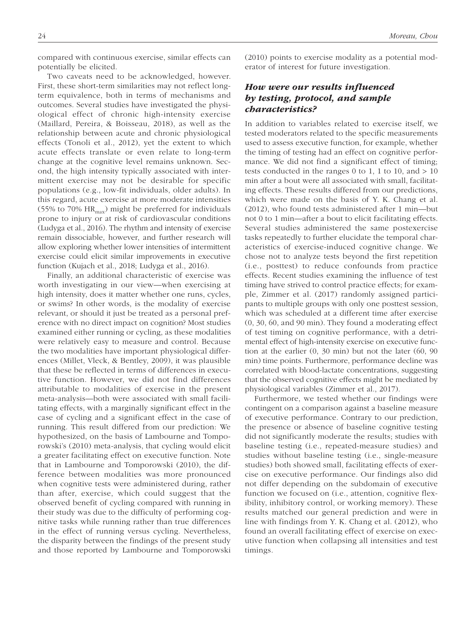compared with continuous exercise, similar effects can potentially be elicited.

Two caveats need to be acknowledged, however. First, these short-term similarities may not reflect longterm equivalence, both in terms of mechanisms and outcomes. Several studies have investigated the physiological effect of chronic high-intensity exercise (Maillard, Pereira, & Boisseau, 2018), as well as the relationship between acute and chronic physiological effects (Tonoli et al., 2012), yet the extent to which acute effects translate or even relate to long-term change at the cognitive level remains unknown. Second, the high intensity typically associated with intermittent exercise may not be desirable for specific populations (e.g., low-fit individuals, older adults). In this regard, acute exercise at more moderate intensities (55% to 70%  $HR_{max}$ ) might be preferred for individuals prone to injury or at risk of cardiovascular conditions (Ludyga et al., 2016). The rhythm and intensity of exercise remain dissociable, however, and further research will allow exploring whether lower intensities of intermittent exercise could elicit similar improvements in executive function (Kujach et al., 2018; Ludyga et al., 2016).

Finally, an additional characteristic of exercise was worth investigating in our view*—*when exercising at high intensity, does it matter whether one runs, cycles, or swims? In other words, is the modality of exercise relevant, or should it just be treated as a personal preference with no direct impact on cognition? Most studies examined either running or cycling, as these modalities were relatively easy to measure and control. Because the two modalities have important physiological differences (Millet, Vleck, & Bentley, 2009), it was plausible that these be reflected in terms of differences in executive function. However, we did not find differences attributable to modalities of exercise in the present meta-analysis—both were associated with small facilitating effects, with a marginally significant effect in the case of cycling and a significant effect in the case of running. This result differed from our prediction: We hypothesized, on the basis of Lambourne and Tomporowski's (2010) meta-analysis, that cycling would elicit a greater facilitating effect on executive function. Note that in Lambourne and Tomporowski (2010), the difference between modalities was more pronounced when cognitive tests were administered during, rather than after, exercise, which could suggest that the observed benefit of cycling compared with running in their study was due to the difficulty of performing cognitive tasks while running rather than true differences in the effect of running versus cycling. Nevertheless, the disparity between the findings of the present study and those reported by Lambourne and Tomporowski

(2010) points to exercise modality as a potential moderator of interest for future investigation.

# *How were our results influenced by testing, protocol, and sample characteristics?*

In addition to variables related to exercise itself, we tested moderators related to the specific measurements used to assess executive function, for example, whether the timing of testing had an effect on cognitive performance. We did not find a significant effect of timing; tests conducted in the ranges  $0$  to 1, 1 to 10, and  $> 10$ min after a bout were all associated with small, facilitating effects. These results differed from our predictions, which were made on the basis of Y. K. Chang et al. (2012), who found tests administered after 1 min*—*but not 0 to 1 min*—*after a bout to elicit facilitating effects. Several studies administered the same postexercise tasks repeatedly to further elucidate the temporal characteristics of exercise-induced cognitive change. We chose not to analyze tests beyond the first repetition (i.e., posttest) to reduce confounds from practice effects. Recent studies examining the influence of test timing have strived to control practice effects; for example, Zimmer et al. (2017) randomly assigned participants to multiple groups with only one posttest session, which was scheduled at a different time after exercise (0, 30, 60, and 90 min). They found a moderating effect of test timing on cognitive performance, with a detrimental effect of high-intensity exercise on executive function at the earlier (0, 30 min) but not the later (60, 90 min) time points. Furthermore, performance decline was correlated with blood-lactate concentrations, suggesting that the observed cognitive effects might be mediated by physiological variables (Zimmer et al., 2017).

Furthermore, we tested whether our findings were contingent on a comparison against a baseline measure of executive performance. Contrary to our prediction, the presence or absence of baseline cognitive testing did not significantly moderate the results; studies with baseline testing (i.e., repeated-measure studies) and studies without baseline testing (i.e., single-measure studies) both showed small, facilitating effects of exercise on executive performance. Our findings also did not differ depending on the subdomain of executive function we focused on (i.e., attention, cognitive flexibility, inhibitory control, or working memory). These results matched our general prediction and were in line with findings from Y. K. Chang et al. (2012), who found an overall facilitating effect of exercise on executive function when collapsing all intensities and test timings.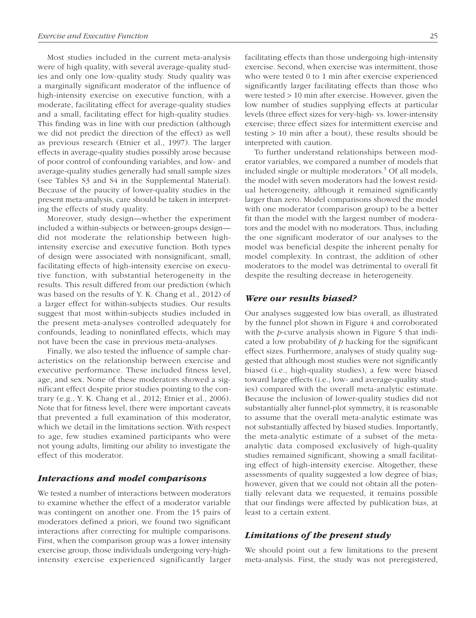Most studies included in the current meta-analysis were of high quality, with several average-quality studies and only one low-quality study. Study quality was a marginally significant moderator of the influence of high-intensity exercise on executive function, with a moderate, facilitating effect for average-quality studies and a small, facilitating effect for high-quality studies. This finding was in line with our prediction (although we did not predict the direction of the effect) as well as previous research (Etnier et al., 1997). The larger effects in average-quality studies possibly arose because of poor control of confounding variables, and low- and average-quality studies generally had small sample sizes (see Tables S3 and S4 in the Supplemental Material). Because of the paucity of lower-quality studies in the present meta-analysis, care should be taken in interpreting the effects of study quality.

Moreover, study design—whether the experiment included a within-subjects or between-groups design did not moderate the relationship between highintensity exercise and executive function. Both types of design were associated with nonsignificant, small, facilitating effects of high-intensity exercise on executive function, with substantial heterogeneity in the results. This result differed from our prediction (which was based on the results of Y. K. Chang et al., 2012) of a larger effect for within-subjects studies. Our results suggest that most within-subjects studies included in the present meta-analyses controlled adequately for confounds, leading to noninflated effects, which may not have been the case in previous meta-analyses.

Finally, we also tested the influence of sample characteristics on the relationship between exercise and executive performance. These included fitness level, age, and sex. None of these moderators showed a significant effect despite prior studies pointing to the contrary (e.g., Y. K. Chang et al., 2012; Etnier et al., 2006). Note that for fitness level, there were important caveats that prevented a full examination of this moderator, which we detail in the limitations section. With respect to age, few studies examined participants who were not young adults, limiting our ability to investigate the effect of this moderator.

## *Interactions and model comparisons*

We tested a number of interactions between moderators to examine whether the effect of a moderator variable was contingent on another one. From the 15 pairs of moderators defined a priori, we found two significant interactions after correcting for multiple comparisons. First, when the comparison group was a lower intensity exercise group, those individuals undergoing very-highintensity exercise experienced significantly larger facilitating effects than those undergoing high-intensity exercise. Second, when exercise was intermittent, those who were tested 0 to 1 min after exercise experienced significantly larger facilitating effects than those who were tested > 10 min after exercise. However, given the low number of studies supplying effects at particular levels (three effect sizes for very-high- vs. lower-intensity exercise; three effect sizes for intermittent exercise and testing > 10 min after a bout), these results should be interpreted with caution.

To further understand relationships between moderator variables, we compared a number of models that included single or multiple moderators.<sup>5</sup> Of all models, the model with seven moderators had the lowest residual heterogeneity, although it remained significantly larger than zero. Model comparisons showed the model with one moderator (comparison group) to be a better fit than the model with the largest number of moderators and the model with no moderators. Thus, including the one significant moderator of our analyses to the model was beneficial despite the inherent penalty for model complexity. In contrast, the addition of other moderators to the model was detrimental to overall fit despite the resulting decrease in heterogeneity.

### *Were our results biased?*

Our analyses suggested low bias overall, as illustrated by the funnel plot shown in Figure 4 and corroborated with the *p*-curve analysis shown in Figure 5 that indicated a low probability of *p* hacking for the significant effect sizes. Furthermore, analyses of study quality suggested that although most studies were not significantly biased (i.e., high-quality studies), a few were biased toward large effects (i.e., low- and average-quality studies) compared with the overall meta-analytic estimate. Because the inclusion of lower-quality studies did not substantially alter funnel-plot symmetry, it is reasonable to assume that the overall meta-analytic estimate was not substantially affected by biased studies. Importantly, the meta-analytic estimate of a subset of the metaanalytic data composed exclusively of high-quality studies remained significant, showing a small facilitating effect of high-intensity exercise. Altogether, these assessments of quality suggested a low degree of bias; however, given that we could not obtain all the potentially relevant data we requested, it remains possible that our findings were affected by publication bias, at least to a certain extent.

# *Limitations of the present study*

We should point out a few limitations to the present meta-analysis. First, the study was not preregistered,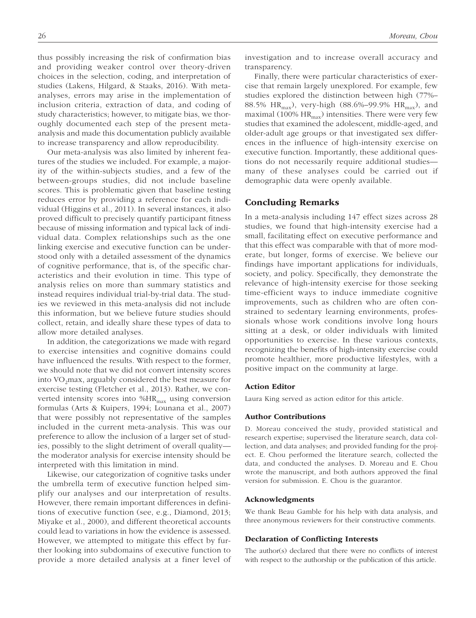thus possibly increasing the risk of confirmation bias and providing weaker control over theory-driven choices in the selection, coding, and interpretation of studies (Lakens, Hilgard, & Staaks, 2016). With metaanalyses, errors may arise in the implementation of inclusion criteria, extraction of data, and coding of study characteristics; however, to mitigate bias, we thoroughly documented each step of the present metaanalysis and made this documentation publicly available to increase transparency and allow reproducibility.

Our meta-analysis was also limited by inherent features of the studies we included. For example, a majority of the within-subjects studies, and a few of the between-groups studies, did not include baseline scores. This is problematic given that baseline testing reduces error by providing a reference for each individual (Higgins et al., 2011). In several instances, it also proved difficult to precisely quantify participant fitness because of missing information and typical lack of individual data. Complex relationships such as the one linking exercise and executive function can be understood only with a detailed assessment of the dynamics of cognitive performance, that is, of the specific characteristics and their evolution in time. This type of analysis relies on more than summary statistics and instead requires individual trial-by-trial data. The studies we reviewed in this meta-analysis did not include this information, but we believe future studies should collect, retain, and ideally share these types of data to allow more detailed analyses.

In addition, the categorizations we made with regard to exercise intensities and cognitive domains could have influenced the results. With respect to the former, we should note that we did not convert intensity scores into  $VO<sub>2</sub>max$ , arguably considered the best measure for exercise testing (Fletcher et al., 2013). Rather, we converted intensity scores into %HR<sub>max</sub> using conversion formulas (Arts & Kuipers, 1994; Lounana et al., 2007) that were possibly not representative of the samples included in the current meta-analysis. This was our preference to allow the inclusion of a larger set of studies, possibly to the slight detriment of overall quality the moderator analysis for exercise intensity should be interpreted with this limitation in mind.

Likewise, our categorization of cognitive tasks under the umbrella term of executive function helped simplify our analyses and our interpretation of results. However, there remain important differences in definitions of executive function (see, e.g., Diamond, 2013; Miyake et al., 2000), and different theoretical accounts could lead to variations in how the evidence is assessed. However, we attempted to mitigate this effect by further looking into subdomains of executive function to provide a more detailed analysis at a finer level of investigation and to increase overall accuracy and transparency.

Finally, there were particular characteristics of exercise that remain largely unexplored. For example, few studies explored the distinction between high (77%– 88.5% HR<sub>max</sub>), very-high (88.6%–99.9% HR<sub>max</sub>), and maximal (100%  $HR_{max}$ ) intensities. There were very few studies that examined the adolescent, middle-aged, and older-adult age groups or that investigated sex differences in the influence of high-intensity exercise on executive function. Importantly, these additional questions do not necessarily require additional studies many of these analyses could be carried out if demographic data were openly available.

# Concluding Remarks

In a meta-analysis including 147 effect sizes across 28 studies, we found that high-intensity exercise had a small, facilitating effect on executive performance and that this effect was comparable with that of more moderate, but longer, forms of exercise. We believe our findings have important applications for individuals, society, and policy. Specifically, they demonstrate the relevance of high-intensity exercise for those seeking time-efficient ways to induce immediate cognitive improvements, such as children who are often constrained to sedentary learning environments, professionals whose work conditions involve long hours sitting at a desk, or older individuals with limited opportunities to exercise. In these various contexts, recognizing the benefits of high-intensity exercise could promote healthier, more productive lifestyles, with a positive impact on the community at large.

### Action Editor

Laura King served as action editor for this article.

### Author Contributions

D. Moreau conceived the study, provided statistical and research expertise; supervised the literature search, data collection, and data analyses; and provided funding for the project. E. Chou performed the literature search, collected the data, and conducted the analyses. D. Moreau and E. Chou wrote the manuscript, and both authors approved the final version for submission. E. Chou is the guarantor.

### Acknowledgments

We thank Beau Gamble for his help with data analysis, and three anonymous reviewers for their constructive comments.

### Declaration of Conflicting Interests

The author(s) declared that there were no conflicts of interest with respect to the authorship or the publication of this article.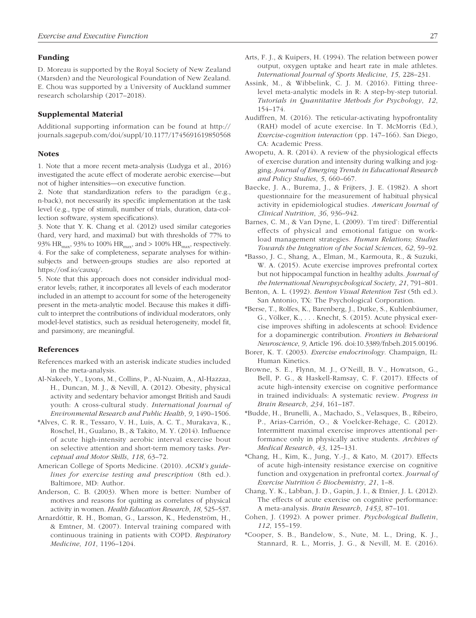### Funding

D. Moreau is supported by the Royal Society of New Zealand (Marsden) and the Neurological Foundation of New Zealand. E. Chou was supported by a University of Auckland summer research scholarship (2017–2018).

### Supplemental Material

Additional supporting information can be found at [http://](http://journals.sagepub.com/doi/suppl/10.1177/1745691619850568) [journals.sagepub.com/doi/suppl/10.1177/1745691619850568](http://journals.sagepub.com/doi/suppl/10.1177/1745691619850568)

### **Notes**

1. Note that a more recent meta-analysis (Ludyga et al., 2016) investigated the acute effect of moderate aerobic exercise—but not of higher intensities—on executive function.

2. Note that standardization refers to the paradigm (e.g., n-back), not necessarily its specific implementation at the task level (e.g., type of stimuli, number of trials, duration, data-collection software, system specifications).

3. Note that Y. K. Chang et al. (2012) used similar categories (hard, very hard, and maximal) but with thresholds of 77% to 93% HR<sub>max</sub>, 93% to 100% HR<sub>max</sub>, and > 100% HR<sub>max</sub>, respectively. 4. For the sake of completeness, separate analyses for withinsubjects and between-groups studies are also reported at [https://osf.io/cauxq/.](https://osf.io/cauxq/)

5. Note that this approach does not consider individual moderator levels; rather, it incorporates all levels of each moderator included in an attempt to account for some of the heterogeneity present in the meta-analytic model. Because this makes it difficult to interpret the contributions of individual moderators, only model-level statistics, such as residual heterogeneity, model fit, and parsimony, are meaningful.

### References

References marked with an asterisk indicate studies included in the meta-analysis.

- Al-Nakeeb, Y., Lyons, M., Collins, P., Al-Nuaim, A., Al-Hazzaa, H., Duncan, M. J., & Nevill, A. (2012). Obesity, physical activity and sedentary behavior amongst British and Saudi youth: A cross-cultural study. *International Journal of Environmental Research and Public Health*, *9*, 1490–1506.
- \*Alves, C. R. R., Tessaro, V. H., Luis, A. C. T., Murakava, K., Roschel, H., Gualano, B., & Takito, M. Y. (2014). Influence of acute high-intensity aerobic interval exercise bout on selective attention and short-term memory tasks. *Perceptual and Motor Skills*, *118*, 63–72.
- American College of Sports Medicine. (2010). *ACSM's guidelines for exercise testing and prescription* (8th ed.). Baltimore, MD: Author.
- Anderson, C. B. (2003). When more is better: Number of motives and reasons for quitting as correlates of physical activity in women. *Health Education Research*, *18*, 525–537.
- Arnardóttir, R. H., Boman, G., Larsson, K., Hedenström, H., & Emtner, M. (2007). Interval training compared with continuous training in patients with COPD. *Respiratory Medicine*, *101*, 1196–1204.
- Arts, F. J., & Kuipers, H. (1994). The relation between power output, oxygen uptake and heart rate in male athletes. *International Journal of Sports Medicine*, *15*, 228–231.
- Assink, M., & Wibbelink, C. J. M. (2016). Fitting threelevel meta-analytic models in R: A step-by-step tutorial. *Tutorials in Quantitative Methods for Psychology*, *12*, 154–174.
- Audiffren, M. (2016). The reticular-activating hypofrontality (RAH) model of acute exercise. In T. McMorris (Ed.), *Exercise-cognition interaction* (pp. 147–166). San Diego, CA: Academic Press.
- Awopetu, A. R. (2014). A review of the physiological effects of exercise duration and intensity during walking and jogging. *Journal of Emerging Trends in Educational Research and Policy Studies*, *5*, 660–667.
- Baecke, J. A., Burema, J., & Frijters, J. E. (1982). A short questionnaire for the measurement of habitual physical activity in epidemiological studies. *American Journal of Clinical Nutrition*, *36*, 936–942.
- Barnes, C. M., & Van Dyne, L. (2009). 'I'm tired': Differential effects of physical and emotional fatigue on workload management strategies. *Human Relations; Studies Towards the Integration of the Social Sciences*, *62*, 59–92.
- \*Basso, J. C., Shang, A., Elman, M., Karmouta, R., & Suzuki, W. A. (2015). Acute exercise improves prefrontal cortex but not hippocampal function in healthy adults. *Journal of the International Neuropsychological Society*, *21*, 791–801.
- Benton, A. L. (1992). *Benton Visual Retention Test* (5th ed.). San Antonio, TX: The Psychological Corporation.
- \*Berse, T., Rolfes, K., Barenberg, J., Dutke, S., Kuhlenbäumer, G., Völker, K., . . . Knecht, S. (2015). Acute physical exercise improves shifting in adolescents at school: Evidence for a dopaminergic contribution. *Frontiers in Behavioral Neuroscience*, *9*, Article 196. doi:10.3389/fnbeh.2015.00196.
- Borer, K. T. (2003). *Exercise endocrinology*. Champaign, IL: Human Kinetics.
- Browne, S. E., Flynn, M. J., O'Neill, B. V., Howatson, G., Bell, P. G., & Haskell-Ramsay, C. F. (2017). Effects of acute high-intensity exercise on cognitive performance in trained individuals: A systematic review. *Progress in Brain Research*, *234*, 161–187.
- \*Budde, H., Brunelli, A., Machado, S., Velasques, B., Ribeiro, P., Arias-Carrión, O., & Voelcker-Rehage, C. (2012). Intermittent maximal exercise improves attentional performance only in physically active students. *Archives of Medical Research*, *43*, 125–131.
- \*Chang, H., Kim, K., Jung, Y.-J., & Kato, M. (2017). Effects of acute high-intensity resistance exercise on cognitive function and oxygenation in prefrontal cortex. *Journal of Exercise Nutrition & Biochemistry*, *21*, 1–8.
- Chang, Y. K., Labban, J. D., Gapin, J. I., & Etnier, J. L. (2012). The effects of acute exercise on cognitive performance: A meta-analysis. *Brain Research*, *1453*, 87–101.
- Cohen, J. (1992). A power primer. *Psychological Bulletin*, *112*, 155–159.
- \*Cooper, S. B., Bandelow, S., Nute, M. L., Dring, K. J., Stannard, R. L., Morris, J. G., & Nevill, M. E. (2016).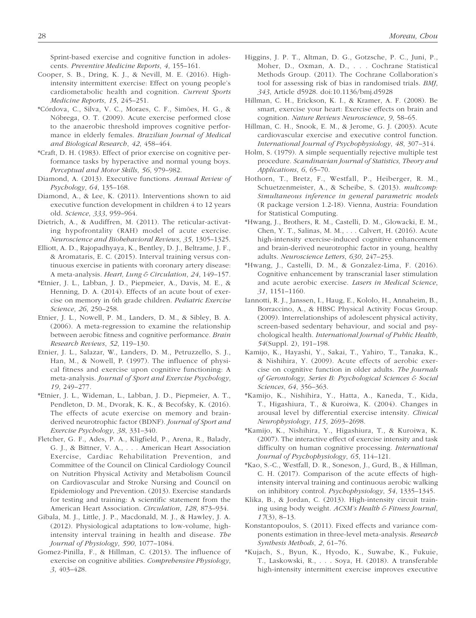Sprint-based exercise and cognitive function in adolescents. *Preventive Medicine Reports*, *4*, 155–161.

- Cooper, S. B., Dring, K. J., & Nevill, M. E. (2016). Highintensity intermittent exercise: Effect on young people's cardiometabolic health and cognition. *Current Sports Medicine Reports*, *15*, 245–251.
- \*Córdova, C., Silva, V. C., Moraes, C. F., Simões, H. G., & Nóbrega, O. T. (2009). Acute exercise performed close to the anaerobic threshold improves cognitive performance in elderly females. *Brazilian Journal of Medical and Biological Research*, *42*, 458–464.
- \*Craft, D. H. (1983). Effect of prior exercise on cognitive performance tasks by hyperactive and normal young boys. *Perceptual and Motor Skills*, *56*, 979–982.
- Diamond, A. (2013). Executive functions. *Annual Review of Psychology*, *64*, 135–168.
- Diamond, A., & Lee, K. (2011). Interventions shown to aid executive function development in children 4 to 12 years old. *Science*, *333*, 959–964.
- Dietrich, A., & Audiffren, M. (2011). The reticular-activating hypofrontality (RAH) model of acute exercise. *Neuroscience and Biobehavioral Reviews*, *35*, 1305–1325.
- Elliott, A. D., Rajopadhyaya, K., Bentley, D. J., Beltrame, J. F., & Aromataris, E. C. (2015). Interval training versus continuous exercise in patients with coronary artery disease: A meta-analysis. *Heart, Lung & Circulation*, *24*, 149–157.
- \*Etnier, J. L., Labban, J. D., Piepmeier, A., Davis, M. E., & Henning, D. A. (2014). Effects of an acute bout of exercise on memory in 6th grade children. *Pediatric Exercise Science*, *26*, 250–258.
- Etnier, J. L., Nowell, P. M., Landers, D. M., & Sibley, B. A. (2006). A meta-regression to examine the relationship between aerobic fitness and cognitive performance. *Brain Research Reviews*, *52*, 119–130.
- Etnier, J. L., Salazar, W., Landers, D. M., Petruzzello, S. J., Han, M., & Nowell, P. (1997). The influence of physical fitness and exercise upon cognitive functioning: A meta-analysis. *Journal of Sport and Exercise Psychology*, *19*, 249–277.
- \*Etnier, J. L., Wideman, L., Labban, J. D., Piepmeier, A. T., Pendleton, D. M., Dvorak, K. K., & Becofsky, K. (2016). The effects of acute exercise on memory and brainderived neurotrophic factor (BDNF). *Journal of Sport and Exercise Psychology*, *38*, 331–340.
- Fletcher, G. F., Ades, P. A., Kligfield, P., Arena, R., Balady, G. J., & Bittner, V. A., . . . American Heart Association Exercise, Cardiac Rehabilitation Prevention, and Committee of the Council on Clinical Cardiology Council on Nutrition Physical Activity and Metabolism Council on Cardiovascular and Stroke Nursing and Council on Epidemiology and Prevention. (2013). Exercise standards for testing and training: A scientific statement from the American Heart Association. *Circulation*, *128*, 873–934.
- Gibala, M. J., Little, J. P., Macdonald, M. J., & Hawley, J. A. (2012). Physiological adaptations to low-volume, highintensity interval training in health and disease. *The Journal of Physiology*, *590*, 1077–1084.
- Gomez-Pinilla, F., & Hillman, C. (2013). The influence of exercise on cognitive abilities. *Comprehensive Physiology*, *3*, 403–428.
- Higgins, J. P. T., Altman, D. G., Gotzsche, P. C., Juni, P., Moher, D., Oxman, A. D., . . . Cochrane Statistical Methods Group. (2011). The Cochrane Collaboration's tool for assessing risk of bias in randomised trials. *BMJ*, *343*, Article d5928. doi:10.1136/bmj.d5928
- Hillman, C. H., Erickson, K. I., & Kramer, A. F. (2008). Be smart, exercise your heart: Exercise effects on brain and cognition. *Nature Reviews Neuroscience*, *9*, 58–65.
- Hillman, C. H., Snook, E. M., & Jerome, G. J. (2003). Acute cardiovascular exercise and executive control function. *International Journal of Psychophysiology*, *48*, 307–314.
- Holm, S. (1979). A simple sequentially rejective multiple test procedure. *Scandinavian Journal of Statistics, Theory and Applications*, *6*, 65–70.
- Hothorn, T., Bretz, F., Westfall, P., Heiberger, R. M., Schuetzenmeister, A., & Scheibe, S. (2013). *multcomp: Simultaneous inference in general parametric models* (R package version 1.2-18). Vienna, Austria: Foundation for Statistical Computing.
- \*Hwang, J., Brothers, R. M., Castelli, D. M., Glowacki, E. M., Chen, Y. T., Salinas, M. M., . . . Calvert, H. (2016). Acute high-intensity exercise-induced cognitive enhancement and brain-derived neurotrophic factor in young, healthy adults. *Neuroscience Letters*, *630*, 247–253.
- \*Hwang, J., Castelli, D. M., & Gonzalez-Lima, F. (2016). Cognitive enhancement by transcranial laser stimulation and acute aerobic exercise. *Lasers in Medical Science*, *31*, 1151–1160.
- Iannotti, R. J., Janssen, I., Haug, E., Kololo, H., Annaheim, B., Borraccino, A., & HBSC Physical Activity Focus Group. (2009). Interrelationships of adolescent physical activity, screen-based sedentary behaviour, and social and psychological health. *International Journal of Public Health*, *54*(Suppl. 2), 191–198.
- Kamijo, K., Hayashi, Y., Sakai, T., Yahiro, T., Tanaka, K., & Nishihira, Y. (2009). Acute effects of aerobic exercise on cognitive function in older adults. *The Journals of Gerontology, Series B: Psychological Sciences & Social Sciences*, *64*, 356–363.
- \*Kamijo, K., Nishihira, Y., Hatta, A., Kaneda, T., Kida, T., Higashiura, T., & Kuroiwa, K. (2004). Changes in arousal level by differential exercise intensity. *Clinical Neurophysiology*, *115*, 2693–2698.
- \*Kamijo, K., Nishihira, Y., Higashiura, T., & Kuroiwa, K. (2007). The interactive effect of exercise intensity and task difficulty on human cognitive processing. *International Journal of Psychophysiology*, *65*, 114–121.
- \*Kao, S.-C., Westfall, D. R., Soneson, J., Gurd, B., & Hillman, C. H. (2017). Comparison of the acute effects of highintensity interval training and continuous aerobic walking on inhibitory control. *Psychophysiology*, *54*, 1335–1345.
- Klika, B., & Jordan, C. (2013). High-intensity circuit training using body weight. *ACSM's Health & Fitness Journal*, *17*(3), 8–13.
- Konstantopoulos, S. (2011). Fixed effects and variance components estimation in three-level meta-analysis. *Research Synthesis Methods*, *2*, 61–76.
- \*Kujach, S., Byun, K., Hyodo, K., Suwabe, K., Fukuie, T., Laskowski, R., . . . Soya, H. (2018). A transferable high-intensity intermittent exercise improves executive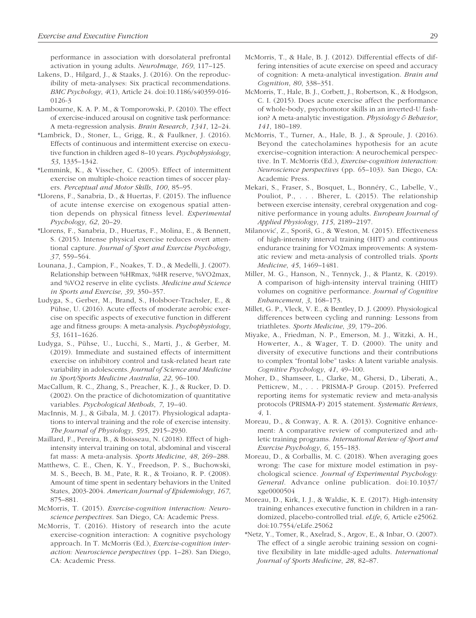performance in association with dorsolateral prefrontal activation in young adults. *NeuroImage*, *169*, 117–125.

- Lakens, D., Hilgard, J., & Staaks, J. (2016). On the reproducibility of meta-analyses: Six practical recommendations. *BMC Psychology*, *4*(1), Article 24. doi:10.1186/s40359-016- 0126-3
- Lambourne, K. A. P. M., & Tomporowski, P. (2010). The effect of exercise-induced arousal on cognitive task performance: A meta-regression analysis. *Brain Research*, *1341*, 12–24.
- \*Lambrick, D., Stoner, L., Grigg, R., & Faulkner, J. (2016). Effects of continuous and intermittent exercise on executive function in children aged 8–10 years. *Psychophysiology*, *53*, 1335–1342.
- \*Lemmink, K., & Visscher, C. (2005). Effect of intermittent exercise on multiple-choice reaction times of soccer players. *Perceptual and Motor Skills*, *100*, 85–95.
- \*Llorens, F., Sanabria, D., & Huertas, F. (2015). The influence of acute intense exercise on exogenous spatial attention depends on physical fitness level. *Experimental Psychology*, *62*, 20–29.
- \*Llorens, F., Sanabria, D., Huertas, F., Molina, E., & Bennett, S. (2015). Intense physical exercise reduces overt attentional capture. *Journal of Sport and Exercise Psychology*, *37*, 559–564.
- Lounana, J., Campion, F., Noakes, T. D., & Medelli, J. (2007). Relationship between %HRmax, %HR reserve, %VO2max, and %VO2 reserve in elite cyclists. *Medicine and Science in Sports and Exercise*, *39*, 350–357.
- Ludyga, S., Gerber, M., Brand, S., Holsboer-Trachsler, E., & Pühse, U. (2016). Acute effects of moderate aerobic exercise on specific aspects of executive function in different age and fitness groups: A meta-analysis. *Psychophysiology*, *53*, 1611–1626.
- Ludyga, S., Pühse, U., Lucchi, S., Marti, J., & Gerber, M. (2019). Immediate and sustained effects of intermittent exercise on inhibitory control and task-related heart rate variability in adolescents. *Journal of Science and Medicine in Sport/Sports Medicine Australia*, *22*, 96–100.
- MacCallum, R. C., Zhang, S., Preacher, K. J., & Rucker, D. D. (2002). On the practice of dichotomization of quantitative variables. *Psychological Methods*, *7*, 19–40.
- MacInnis, M. J., & Gibala, M. J. (2017). Physiological adaptations to interval training and the role of exercise intensity. *The Journal of Physiology*, *595*, 2915–2930.
- Maillard, F., Pereira, B., & Boisseau, N. (2018). Effect of highintensity interval training on total, abdominal and visceral fat mass: A meta-analysis. *Sports Medicine*, *48*, 269–288.
- Matthews, C. E., Chen, K. Y., Freedson, P. S., Buchowski, M. S., Beech, B. M., Pate, R. R., & Troiano, R. P. (2008). Amount of time spent in sedentary behaviors in the United States, 2003-2004. *American Journal of Epidemiology*, *167*, 875–881.
- McMorris, T. (2015). *Exercise-cognition interaction: Neuroscience perspectives*. San Diego, CA: Academic Press.
- McMorris, T. (2016). History of research into the acute exercise-cognition interaction: A cognitive psychology approach. In T. McMorris (Ed.), *Exercise-cognition interaction: Neuroscience perspectives* (pp. 1–28). San Diego, CA: Academic Press.
- McMorris, T., & Hale, B. J. (2012). Differential effects of differing intensities of acute exercise on speed and accuracy of cognition: A meta-analytical investigation. *Brain and Cognition*, *80*, 338–351.
- McMorris, T., Hale, B. J., Corbett, J., Robertson, K., & Hodgson, C. I. (2015). Does acute exercise affect the performance of whole-body, psychomotor skills in an inverted-U fashion? A meta-analytic investigation. *Physiology & Behavior*, *141*, 180–189.
- McMorris, T., Turner, A., Hale, B. J., & Sproule, J. (2016). Beyond the catecholamines hypothesis for an acute exercise–cognition interaction: A neurochemical perspective. In T. McMorris (Ed.), *Exercise-cognition interaction: Neuroscience perspectives* (pp. 65–103). San Diego, CA: Academic Press.
- Mekari, S., Fraser, S., Bosquet, L., Bonnéry, C., Labelle, V., Pouliot, P., . . . Bherer, L. (2015). The relationship between exercise intensity, cerebral oxygenation and cognitive performance in young adults. *European Journal of Applied Physiology*, *115*, 2189–2197.
- Milanović, Z., Sporiš, G., & Weston, M. (2015). Effectiveness of high-intensity interval training (HIT) and continuous endurance training for VO2max improvements: A systematic review and meta-analysis of controlled trials. *Sports Medicine*, *45*, 1469–1481.
- Miller, M. G., Hanson, N., Tennyck, J., & Plantz, K. (2019). A comparison of high-intensity interval training (HIIT) volumes on cognitive performance. *Journal of Cognitive Enhancement*, *3*, 168–173.
- Millet, G. P., Vleck, V. E., & Bentley, D. J. (2009). Physiological differences between cycling and running: Lessons from triathletes. *Sports Medicine*, *39*, 179–206.
- Miyake, A., Friedman, N. P., Emerson, M. J., Witzki, A. H., Howerter, A., & Wager, T. D. (2000). The unity and diversity of executive functions and their contributions to complex "frontal lobe" tasks: A latent variable analysis. *Cognitive Psychology*, *41*, 49–100.
- Moher, D., Shamseer, L., Clarke, M., Ghersi, D., Liberati, A., Petticrew, M., . . . PRISMA-P Group. (2015). Preferred reporting items for systematic review and meta-analysis protocols (PRISMA-P) 2015 statement. *Systematic Reviews*, *4*, 1.
- Moreau, D., & Conway, A. R. A. (2013). Cognitive enhancement: A comparative review of computerized and athletic training programs. *International Review of Sport and Exercise Psychology*, *6*, 155–183.
- Moreau, D., & Corballis, M. C. (2018). When averaging goes wrong: The case for mixture model estimation in psychological science. *Journal of Experimental Psychology: General*. Advance online publication. doi:10.1037/ xge0000504
- Moreau, D., Kirk, I. J., & Waldie, K. E. (2017). High-intensity training enhances executive function in children in a randomized, placebo-controlled trial. *eLife*, *6*, Article e25062. doi:10.7554/eLife.25062
- \*Netz, Y., Tomer, R., Axelrad, S., Argov, E., & Inbar, O. (2007). The effect of a single aerobic training session on cognitive flexibility in late middle-aged adults. *International Journal of Sports Medicine*, *28*, 82–87.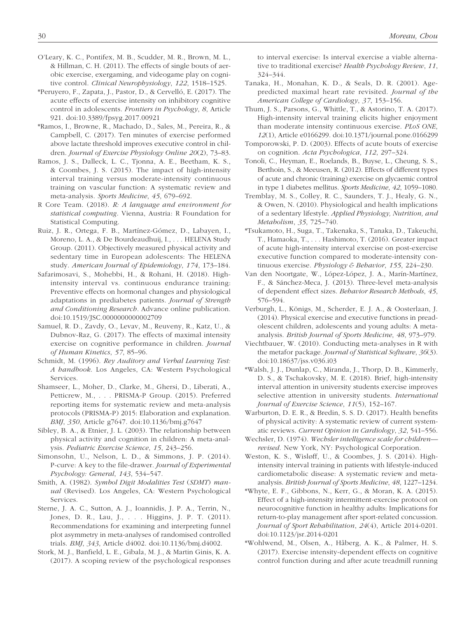- O'Leary, K. C., Pontifex, M. B., Scudder, M. R., Brown, M. L., & Hillman, C. H. (2011). The effects of single bouts of aerobic exercise, exergaming, and videogame play on cognitive control. *Clinical Neurophysiology*, *122*, 1518–1525.
- \*Peruyero, F., Zapata, J., Pastor, D., & Cervelló, E. (2017). The acute effects of exercise intensity on inhibitory cognitive control in adolescents. *Frontiers in Psychology*, *8*, Article 921. doi:10.3389/fpsyg.2017.00921
- \*Ramos, I., Browne, R., Machado, D., Sales, M., Pereira, R., & Campbell, C. (2017). Ten minutes of exercise performed above lactate threshold improves executive control in children. *Journal of Exercise Physiology Online 20*(2), 73–83.
- Ramos, J. S., Dalleck, L. C., Tjonna, A. E., Beetham, K. S., & Coombes, J. S. (2015). The impact of high-intensity interval training versus moderate-intensity continuous training on vascular function: A systematic review and meta-analysis. *Sports Medicine*, *45*, 679–692.
- R Core Team. (2018). *R: A language and environment for statistical computing*. Vienna, Austria: R Foundation for Statistical Computing.
- Ruiz, J. R., Ortega, F. B., Martínez-Gómez, D., Labayen, I., Moreno, L. A., & De Bourdeaudhuij, I., . . . HELENA Study Group. (2011). Objectively measured physical activity and sedentary time in European adolescents: The HELENA study. *American Journal of Epidemiology*, *174*, 173–184.
- Safarimosavi, S., Mohebbi, H., & Rohani, H. (2018). Highintensity interval vs. continuous endurance training: Preventive effects on hormonal changes and physiological adaptations in prediabetes patients. *Journal of Strength and Conditioning Research*. Advance online publication. doi:10.1519/JSC.0000000000002709
- Samuel, R. D., Zavdy, O., Levav, M., Reuveny, R., Katz, U., & Dubnov-Raz, G. (2017). The effects of maximal intensity exercise on cognitive performance in children. *Journal of Human Kinetics*, *57*, 85–96.
- Schmidt, M. (1996). *Rey Auditory and Verbal Learning Test: A handbook*. Los Angeles, CA: Western Psychological Services.
- Shamseer, L., Moher, D., Clarke, M., Ghersi, D., Liberati, A., Petticrew, M., . . . PRISMA-P Group. (2015). Preferred reporting items for systematic review and meta-analysis protocols (PRISMA-P) 2015: Elaboration and explanation. *BMJ*, *350*, Article g7647. doi:10.1136/bmj.g7647
- Sibley, B. A., & Etnier, J. L. (2003). The relationship between physical activity and cognition in children: A meta-analysis. *Pediatric Exercise Science*, *15*, 243–256.
- Simonsohn, U., Nelson, L. D., & Simmons, J. P. (2014). P-curve: A key to the file-drawer. *Journal of Experimental Psychology: General*, *143*, 534–547.
- Smith, A. (1982). *Symbol Digit Modalities Test* (*SDMT*) *manual* (Revised). Los Angeles, CA: Western Psychological Services.
- Sterne, J. A. C., Sutton, A. J., Ioannidis, J. P. A., Terrin, N., Jones, D. R., Lau, J., . . . Higgins, J. P. T. (2011). Recommendations for examining and interpreting funnel plot asymmetry in meta-analyses of randomised controlled trials. *BMJ*, *343*, Article d4002. doi:10.1136/bmj.d4002.
- Stork, M. J., Banfield, L. E., Gibala, M. J., & Martin Ginis, K. A. (2017). A scoping review of the psychological responses

to interval exercise: Is interval exercise a viable alternative to traditional exercise? *Health Psychology Review*, *11*, 324–344.

- Tanaka, H., Monahan, K. D., & Seals, D. R. (2001). Agepredicted maximal heart rate revisited. *Journal of the American College of Cardiology*, *37*, 153–156.
- Thum, J. S., Parsons, G., Whittle, T., & Astorino, T. A. (2017). High-intensity interval training elicits higher enjoyment than moderate intensity continuous exercise. *PLoS ONE*, *12*(1), Article e0166299. doi:10.1371/journal.pone.0166299
- Tomporowski, P. D. (2003). Effects of acute bouts of exercise on cognition. *Acta Psychologica*, *112*, 297–324.
- Tonoli, C., Heyman, E., Roelands, B., Buyse, L., Cheung, S. S., Berthoin, S., & Meeusen, R. (2012). Effects of different types of acute and chronic (training) exercise on glycaemic control in type 1 diabetes mellitus. *Sports Medicine*, *42*, 1059–1080.
- Tremblay, M. S., Colley, R. C., Saunders, T. J., Healy, G. N., & Owen, N. (2010). Physiological and health implications of a sedentary lifestyle. *Applied Physiology, Nutrition, and Metabolism*, *35*, 725–740.
- \*Tsukamoto, H., Suga, T., Takenaka, S., Tanaka, D., Takeuchi, T., Hamaoka, T., . . . Hashimoto, T. (2016). Greater impact of acute high-intensity interval exercise on post-exercise executive function compared to moderate-intensity continuous exercise. *Physiology & Behavior*, *155*, 224–230.
- Van den Noortgate, W., López-López, J. A., Marín-Martínez, F., & Sánchez-Meca, J. (2013). Three-level meta-analysis of dependent effect sizes. *Behavior Research Methods*, *45*, 576–594.
- Verburgh, L., Königs, M., Scherder, E. J. A., & Oosterlaan, J. (2014). Physical exercise and executive functions in preadolescent children, adolescents and young adults: A metaanalysis. *British Journal of Sports Medicine*, *48*, 973–979.
- Viechtbauer, W. (2010). Conducting meta-analyses in R with the metafor package. *Journal of Statistical Software*, *36*(3). doi:10.18637/jss.v036.i03
- \*Walsh, J. J., Dunlap, C., Miranda, J., Thorp, D. B., Kimmerly, D. S., & Tschakovsky, M. E. (2018). Brief, high-intensity interval attention in university students exercise improves selective attention in university students. *International Journal of Exercise Science*, *11*(5), 152–167.
- Warburton, D. E. R., & Bredin, S. S. D. (2017). Health benefits of physical activity: A systematic review of current systematic reviews. *Current Opinion in Cardiology*, *32*, 541–556.
- Wechsler, D. (1974). *Wechsler intelligence scale for children revised*. New York, NY: Psychological Corporation.
- Weston, K. S., Wisløff, U., & Coombes, J. S. (2014). Highintensity interval training in patients with lifestyle-induced cardiometabolic disease: A systematic review and metaanalysis. *British Journal of Sports Medicine*, *48*, 1227–1234.
- \*Whyte, E. F., Gibbons, N., Kerr, G., & Moran, K. A. (2015). Effect of a high-intensity intermittent-exercise protocol on neurocognitive function in healthy adults: Implications for return-to-play management after sport-related concussion. *Journal of Sport Rehabilitation*, *24*(4), Article 2014-0201. doi:10.1123/jsr.2014-0201
- \*Wohlwend, M., Olsen, A., Håberg, A. K., & Palmer, H. S. (2017). Exercise intensity-dependent effects on cognitive control function during and after acute treadmill running